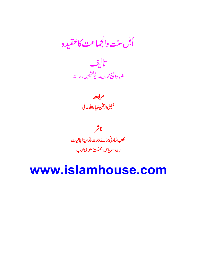أبل سنت والجماعت كاعقيده



مراجعه<br>شفیق الرحسن ضیاءالله مدنی

ناشر كىت تعادنى برائے دعوت دتوعية الجاليات ر بوه-ریاض-مملکت سعودی عرب

#### www.islamhouse.com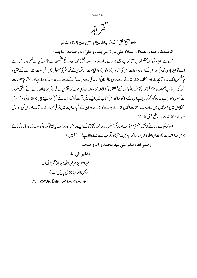

### تقريظ

ساحته انشخ مفتى المملكة /عبدالله بن *عبد*العزيز ابن باز رحمة الله عليه

الحمدلله وحده والصلاة والسلام على من لا نبي بعده و علىٰ آله وصحبه ' اما بعد :

میں نےعقیدہ کی اس مختصراور جامع کتاب جسے ہمارے برادرعلامہ فضیلۃ انشخ محمہ بن صالح اقتیمن نے تالیف کیا ہے کمل سنا' میں نے اسے تو حید باری تعالیٰ اوراس کےاساءوصفات'اس کی کتابوں'رسولوں'روز قیامت اور تقذیر کے خیروشر کی فصول میں اہل سنت و جماعت کےعقیدہ پرمشتمل ایک عمدہ کتابچہ پایااورمؤلف حفظہ اللہ نے اسے بڑی جانفشانی اورعمدگی سے مرتب کرکےا سے بےحدمفید بنادیا ہۓاور وہ تمام معلومات جن کی ہرطالب علم اور عام مسلمانوں کوٗاللہ تعالیٰ اس کےفرشتوں' کتابوں'رسولوں'روز قیامت اورتقدیر کے خیروشریرا یمان لانے سے متعلق ضرور ت محسوس ہوتی ہے۔ان کوذکرکر دیا ہےاس کےساتھ ساتھ اس کتاب میں ایسے بیش قیمت فوائد واضافے جمع کر دیئے ہیں جوعقا ئد کی بڑی بڑی ۔<br>سمابوں میں میس*رنہی*ں ہیں ۔الٹدرب العزت انہیں جزائے خیر سےنوازےاوران کےعلم وہدایت میں ترقی فرمائے' بہ کتاب اوران کی دوسری تاليفات كوفا ئده منداورنفع بخش بنائے!

الڈکریم سے دعا ہے کہ ہمیں بمحترم مؤلف اور دیگرمسلمان بھائیوں کو پیسے ایسے راہنمااور مدایت یافتہ لوگوں کی صف میں شامل فر مائے جوعلى دجهالبصيرت دعوت الى الله كافر يضهِ سرانحام دين \_ يقيناًوه قريب سے سننے والا ہے! ( آ مين ) وصلي الله وسلم على نبيّنا محمد و آله و صحبه

> الفقير الى الله عبدالعزيز بنء بدالله بن بازبحفي اللهءنيه الرئيس العام(جزل پريذيڈنٹ) الإ دارات البجو ث العلميه والإفبأءوالدعوة والإرشاد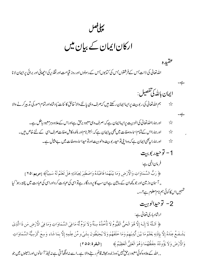بہافصل

ارکان ایمان کے بیان میں

الله تعالیٰ کی ذات'اس کےفرشتوں'اس کی کتابوں'اس کے رسولوں اور روز قیامت اور نقذ پر کی اچھائی اور برائی پرایمان لا نا

ايمان بالله كي تفصيل : ہم اللہ تعالیٰ کی ربوبیت پرایساایمان رکھتے ہیں کہ صرف وہی پالنے والا'خالق کا ئنات'بادشاہ اورتمام امور کی تدبیر کرنے والا ☆

- اور ہمارااللہ تعالیٰ کی الوہیت پرایساایمان ہے کہ:صرف وہی معبود برحق ہےاوراس کےعلاوہ ہرمعبود باطل ہے۔ ☆
- اور ہمارااس کے تمام اساءوصفات میں بھی پیا پیان ہے کہ: بہتر نام اور بلند وکامل صفات صرف اسی کے لئے خاص ہیں۔ ☆
	- اور ہمارا، يھى ايمان ہے كہ وہ اپنى توحيدر بوبيت والوہيت اورتوحيداساءوصفات ميں بے مثال ہے۔ ☆
		- 1 توحيدر بوبت

عقيده

 $-\xi$ 

فرمان الہی ہے: ﴿ رَبُّ السَّمَاوَاتِ وَالْأَرُضِ وَمَا بَيْنَهُمَا فَاعْبُدُهُ وَاصُطَبِرُ لِعِبَادَتِهِ هَلُ تَعُلَمُ لَهُ سَمِيّاً﴾ [مريم:٢٥] ,, آ سان وزمین اور جو پچھان کے ما بین ہےان سب کا پروردگار ہےنو اسی کی عبادت کرواوراسی کی عبادت میں پختہ رہو' کیا حمہمیںاس کا کوئی ہم نام معلوم ہے؟،،۔

2- توحيدالوهيت

ارشاد باری تعالی ہے:

﴿ اَللَّهُ لَا إِلَـهَ إِلَّا هُوَ الْحَيُّ الْقَيُّومُ لَا تَأْخُذُهُ سِنَةٌ وَلَا نَوُمٌ لَّهُ مَا فِى السَّمَاوَاتِ وَمَا فِى الأَرْضِ مَن ذَا الَّذِى يَشُفَعُ عِنُدَهُ إِلَّا بِإِذْنِهِ يَعْلَمُ مَا بَيْنَ أَيْدِيُهِمْ وَمَا خَلَفَهُمْ وَلَا يُحِيْطُونَ بِشَيْءٍ مِّنُ عِلْمِهِ إِلَّا بِمَا شَاء وَسِعَ كُرُسِيُّهُ السَّمَاوَاتِ وَالْأَرُضَ وَلَا يَؤُودُهُ حِفُظُهُمَا وَهُوَ الْعَلِيُّ الْعَظِيْمُ ﴾ [البقرة: ٢٥٥]

, , الله کےعلاوہ کوئی معبود برحق نہیں' وہ زندہ ہمیشہ قائم رہنے والا ہے۔اسے نہاونگھآ تی ہے نہ نبینز آ سانوں اور زمینوں میں جو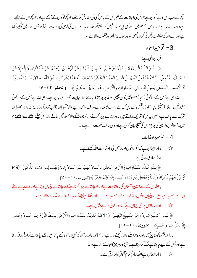کچھ ہےسب اسی کا ہے' کون ہے جواس کی اجازت کے بغیراس کے پاس سی کی سفارش کر سکے، جو کچھاوگوں کے آگے ہےاور جو کچھان کے پیچھے ہےوہ سب جانتا ہےاوروہاس کے لم میں سے کسی چیز کااحاط پیس کر سکتے مگر جتناوہ جاہے۔اس کی کرسی کی وسعت نے آ سانوںاورز مین کوگھیر رکھا ہےاورا سےان کی حفاظت وَتَکرانی گراں نہیں ،وہ تو بہت بڑا بلنداورعظمت والا ہے،،۔

> 3- توحيداساء فرمان الہی ہے:

﴿ هُـوَ اللَّـهُ الَّـذِي لَا إِلَـهَ إِلَّا هُوَ عَالِمُ الْغَيْبِ وَالشَّهَادَةِ هُوَ الرَّحْمَنُ الرَّحِيُمُ ۚ هُوَ اللَّهُ الَّذِي لَا إِلَه إِلَّا هُوَ الُـمَـلِكُ الْقُدُّوسُ السَّلَامُ الْمُؤْمِنُ الْمُهَيْمِنُ الْعَزِيْزُ الْجَبَّارُ الْمُتَكَبِّرُ سُبْحَانَ اللَّه عَمَّا يُشْرِكُونَ هُوَ اللَّهُ الْخَالِقُ الْبَارِءُ الْمُصَوِّرُ لَهُ الْأَسُمَاءِ الْحُسُنَى يُسَبِّحُ لَهُ مَا فِي السَّمَاوَاتِ وَالْأَرُضِ وَهُوَ الْعَزِيْزُ الْحَكِيُمُ ﴾ [الحشر:٢٢-٣٣] , , الله وہی ہےجس کےسواکوئی ( سچا ) معبودنہیں'وہی چھپی اور ظاہر ہر چیز کا جاننے والا'نہایت رحم والامہر بان ہے۔وہی الله ہےجس کےسواکوئی معبودنہیں۔وہی (حقیقی )بادشاہ (ہرنقص سے )پاک ہے۔سب عیبوں سےصاف،امن دینے والاَ نگہبانَ غالبُ زورآ وراور بڑائی والا اللهاس شرک سے پاک ہےجنہیں بیاس کا شریک بناتے ہیں۔وہ اللہ ہے پیدا کرنے والاٗ وجود بخشنے والاٗ صورتیں بنانے والاٗ اس کیلئے اچھے سےا بیھے نام میں ۔آ سانوں وزمین کی ہر چیزاس کی تنبیج بیان کرتی ہےاوروہی غالب حکمت والا ہے،،۔

- 4- توحيدصفات
- ارشاد باری تعالی ہے :

﴿ لِلَّهِ مُلْكُ السَّمَاوَاتِ وَالْأَرْضِ يَخُلُقُ مَا يَشَاءُ يَهَبُ لِمَنْ يَشَاءُ إِنَاثًا وَيَهَبُ لِمَن يَشَاءُ الذُّكُورَ (49) أَوْ يُزَوِّجُهُمْ ذُكْرَاناً وَإِنَاثاً وَيَحْعَلُ مَن يَشَاءُ عَقِيُماً إِنَّهُ عَلِيُمٌ قَدِيْرٌ ﴾[شورى : ٢٩-٤٠]

, الله ہی کے لئے زمین وآسان کی بادشاہت ہےاور جو حا ہتاہے پیدا کرتا ہے جسے حا ہتاہے بیٹیاں دیتاہےاور جسے حا ہے بیٹے دیتا ہۓ جسے چاہے بیٹےاور پٹیپاں دونوںعطا کرتا ہےاور جسے چاہے بےاولا درکھتا ہےُ یقیپناًوہ جاننے والا اورقد رت والا ہے،،۔ حی<sup>د</sup> اور ہمارااس پربھی ایمان ہے کہ:وہ لا ثانی و بے مثال ہے۔

﴿ لَيُسَ كَمِثْلِهِ شَيْءٌ وَهُوَ السَّمِيْعُ البَصِيرُ (11)لَـهُ مَقَالِيُدُ السَّمَاوَاتِ وَالْأَرْضِ يَبْسُطُ الرِّزُقَ لِمَن يَشَاءُ وَيَقْدِرُ إِنَّهُ بِكُلِّ شَيْءٍ عَلِيُمِ﴾ [شورىٰ : ١١–١٢] , , اس جیسی کوئی چی<sup>نہ</sup>بیں اور وہ بڑاسننے والاٗ دیکھنے والا ہے،۔آ سانوں اورز مین کی تخیاں اسی کے پاس میں جسے جا ہتا ہےفراخ رزق دیتا

> ہےاورجس کے لیے جاہتا ہےتنگ کردیتا ہے۔ یقیناًوہ ہر چیز کا جاننے والا ہے،،۔ حی<sup>کہ</sup> جاراایمان ہےاللہ تعالیٰ تمام مخلوق کارازق ہے۔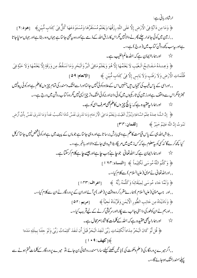ارشادر بانی ہے:

﴿ وَمَا مِن دَآبَةٍ فِي الْأَرُضِ إِلَّا عَلَى اللَّهِ رِزُقُهَا وَيَعُلَمُ مُسۡتَفَرَّهَا وَمُسۡتَوۡدَعَهَا كُلٌّ فِيۡ كِتَابِ مُّبِيۡنِ﴾ [هود:٢] , , زمین میں کوئی جاندار چلنے پھر نے والانہیں گراس کارز ق اللہ کے ذمے ہۓ اور وہ بہ پھی جانتا ہے جہاں وہ رہتا ہےاور جہاں سونیاجا تا ہےاور بی<sup>ر</sup>ب پچھ روشن کتاب میں ( درج ) ہے،،۔

ح<sup>ید</sup> اور ہماراایمان ہے کہ:اللہ عالم الغیب ہے۔

﴿ وَعِنلَهُ مَفَاتِحُ الْغَيْبِ لَا يَعْلَمُهَا إِلَّا هُوَ وَيَعْلَمُ مَافِي الْبَرِّ وَالْبَحْرِ وَمَا تَسُقُطُ مِن وَرَقَةٍ إِلَّا يَعْلَمُهَا وَلَا حَبَّةٍ فِي ظُلُمَاتِ الْأَرُضِ وَلَا رَطُبِ وَلَا يَابِسِ إِلَّا فِي كِتَابِ مُّبِيْنِ ﴾ [الانعام: ٥٩]

, , اوراسی کے پاس غیب کی تنجیاں میں جنہیں اس کےعلاوہ کوئی نہیں جانتااورا سےخشک وسمندر کی تمام چیز وں کاعلم ہےاورکوئی پیٹ نہیں حجیٹر تامگراس سے واقف ہےاورز مین کی تاریکیوں میں کوئی دانیاور نیکوئی خشک وتر چیز ایسی نہیں گروہ کتاب روشن میں درج ہے،،۔ حد سے اورہمارا یو عقیدہ ہے کہ: یانچ چیز وں کاعلم بھیصرف اسکوہے۔

- ﴿ إِنَّ اللَّهَ عِندَهُ عِلْمُ السَّاعَةِ وَيُنَزِّلُ الْغَيُثَ وَيَعْلَمُ مَا فِي الْأَرْحَامِ وَمَا تَدُرِي نَفُسْ مَّاذَا تَكْسِبُ غَداً وَمَا تَدُرِي نَفُسْ عَلَيْهِ عَلَيْهِ عَلَيْهِ تَمُوتُ إِنَّ اللَّهَ عَلِيُمٌ خَبِيرٌ ﴾ [لقمان:٣٣]
- , , بلاشبہاللہ ہی کے پاس قیامت کاعلم ہےوہی بارش برسا تا ہےاوروہی جانتا ہے جو ماں کے پیٹ میں ہےاورکوئی *شخص نہی*ں جانتا کہ کل کیا کچھ کرےگا' نیکسی کو پیمعلوم ہے کہ کس زمین میں مریگا، بلاشبہ دہی جاننے والااور باخبر ہے،،۔ ح ساورہارایمان ہے کہ:اللہ تعالٰی جوجا ہے جب جاہےاور جیسے *چ*اہے کلام کر سکتا ہے۔
	- ﴿ وَكَلَّمَ اللَّهُ مُوسَى تَكْلِيُماً ﴾ [النساء:١٦٣] , , اوراللہ تعالیٰ نےمویٰ (علیہالسلام) سے کلام کیا،،۔ ﴿ وَلَمَّا جَاءِ مُوسَى لِمِيُقَاتِنَا وَكَلَّمَهُ رَبُّهُ ﴾ [اعراف:١٣٣] ,,اور جب موّیٰ (علیہالسلام)ہمارے مقررکردہ دفت پر (طور) پرآئےاوران کے پروردگارنےان سےکلام کیا،،۔

﴿ وَنَادَيْنَاهُ مِن جَانِبِ الطُّورِ الْأَيْمَنِ وَقَرَّبْنَاهُ نَجِيًّا ﴾ [مريم : ٥٢] , , اورہم نے ان کوطور کی دا ہنی جانب سے اپکارااور سرگوشی کرنے کے لیےقریب کیا،،۔

- ح باور ہمارا یہ بھی عقیدہ ہے کہ:اللہ کے کلمات کا شارام محال ہے۔ ﴿ قُل لَّو كَانَ الْبَحْرُ مِدَاداً لِّكَلِمَاتِ رَبِّي لَنَفِدَ الْبَحْرُ قَبْلَ أَن تَنفَدَ كَلِمَاتُ رَبّي وَلَو جئنَا بِمِثْلِهِ مَدَدا
	- ﴾[كهف: ٩ ١ ]

,,اگرمیرے پروردگارکی (علم دھکمت کی)باتیں لکھنے کیلئےساراسمندرروشنائی بن جائے ،تو میرے پروردگار کےکلمات ختم ہونے سے يىلەسمندرخشك ہوجائےگا،،۔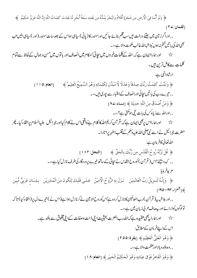﴿ وَلَوۡ أَنَّمَا فِيۡ الۡأَرۡضِ مِن شَجَرَةٍ أَقَلَامٌ وَالۡبَحۡرُ يَمُدُّهُ مِن بَعۡلِهِ سَبُعَةُ أَبۡحُرِ مَّا نَفِدَتُ كَلِمَاتُ اللَّهِ إِنَّ اللَّهَ عَزِيۡزٌ حَكِيۡمٌ ﴾ ⊺**لقمان:∠۲** ] , , اوراگر زمین میں جتنے درخت ہیں سب قلم بنائے جا ئیں اورسمندر کا (یانی) ساہی ہواس کے بعد سات سمندر (اور ) ساہی بنیں تب بھی اللہ کی با تیں ختم نہ ہوں' بلاشبہاللہ غالب حکمت والا ہے،،۔ ح بار در جاراایمان ہے کہ:اللہ کے کلمات خبروں میں سچائی'احکام میں انصاف اور باتوں میں حسن وجمال کے لحاظ سے تمام کلمات سےکامل ترین ہیں۔ ارشادالہٰی ہے: ﴿ وَتَمَّتُ كَلِمَتُ رَبِّكَ صِدُقاً وَعَدُلًا لَّا مُبَدِّلٍ لِكَلِمَاتِهِ وَهُوَ السَّمِيعُ الْعَلِيمُ ﴾  $110:21$ انعام: , , تیرےرب کی با تیںسجائی اورانصاف کےاعتبار سے بوری ہیں،،۔ ﴿ وَمَنۡ أَصَٰدَقُ مِنَ اللَّهِ حَدِيۡتًا ﴾ [نساء:١٨] , , اورالله سے زیاہ کس کی بات تیجی ہوسکتی ہے؟،،۔ ج^ سیر اور ہمارااس پربھی ایمان ہے کہ: قر آن کریم اللہ کا کلام ہےٗ داقعی اس نے کلام کیااور جمرائیل علیہالسلام پرالقاءكيا۔ پھر حضرت جرائیل نے اسے نبی صلی اللہ علی<sub>ع</sub>وسلم کےقلب اطہر پرا تارا۔ اللەتغالى كافرمان ہے: ﴾ قُلُ نَزَّلَهُ رُوحُ الْقُدُسِ مِن رَّبِّكَ بِالْحَقِّ ﴾ [النحل:٢٠٢] ,, کہہ دیجئے!اس( قرآن) کوروح القدس نےسچائی کےساتھ تیرے پروردگارکی طرف نازل کیا ہے،،۔ مزيدِفرمايا: ﴿ وَإِنَّـهُ لَتَـٰزِيُلُ رَبِّ الْعَالَمِيْنَ ۚ نَـزَلَ بِهِ الرُّوحُ الْأَمِيْنُ ۚ عَـلَـى قَلْبِكَ لِتَكُونَ مِنَ الْمُنذِرِيْنَ ۚ بِلِسَانِ عَرَبِيٍّ مُّبِين ﴾[شعراء:١٩٢-١٩٥] , , اور بلاشبہ بیر( قر آن )رب العالمین کانازل کر دہ ہےٗاس کوروح الامین لےکرنازل ہوا ہے(اس نے ) تیرے دل پر (القاءكيا) تا كہ تولوگوں کوڈرائےاور بیصاف عربی زبان میں ہے،،۔

ح (اورہماراریھی عقیدہ ہے کہ الڈرب العزت بحیثیت اپنی ذات وصفات کےاپنی مخلوق سے بلند ہے۔ اس کےاپنےفرمان کے مطابق: ﴿ وَهُوَ الْعَلِيُّ الْعَظِيْمِ ﴾ [بقرة:٥٥] , , وه بلندوبإلااورعظمت والا ہے،،۔ ﴿ وَهُوَ الْقَاهِرُ فَوْقَ عِبَادِهِ وَهُوَ الْحَكِيُمُ الْخَبِيرِ ﴾ [انعام: ١٨]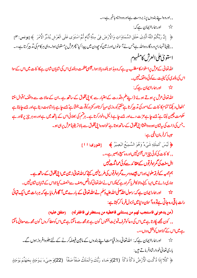, , اوروه اپنے بندوں *پر ذ*بردست ہےاوروه داناوباخ<sub>بر ہ</sub>ے،،۔

اورہماراایمان ہے کہ:  $\Sigma$ ﴿ إِنَّ رَبَّكُمُ اللَّهُ الَّذِي خَلَقَ السَّمَاوَاتِ وَالْأَرُضَ فِي سِتَّةِ أَيَّامٍ ثُمَّ اسُتَوَى عَلَى الْعَرُشِ يُدَبِّرُ الْأَمْرَ ﴾[يونس:٣] , , یقیناً تمہاراپروردگاروہاللہ ہےجس نے آسانوںاورز مین کو جھ دن میں پیدا کیا' پھرعرش پرمستوی ہوا۔وہی ہرکام کی تذبیرکرتا ہے،،۔ استوى على العرش كامفهوم

الله تعالی کے عرش پراستواءکا مطلب ہے ہے کہ وہ بذاتہ بلندو ہالا ہوا جیسی عظمت و بلندی اس کی شایان شان ہے کا ئنات میں اس کے سوا اس کی بلندی کی کیفیت سےکوئی واقف نہیں۔

حیل اورہاراایمان ہے کہ:

اللہ تعالیٰ عرش پر ہوتے ہوئے (اپنے علم وقدرت کے اعتبار سے )اپنی مخلوق کے ساتھ ہے۔ان کے حالات سے واقف'اقوال سنتا 'افعال دیکھا'تمام کا ئنات کےامور کی تدبیر کرتا ہۓ فقیرکوروزی مہیا کرتااور کمز ورکوقوت بخشا ہے کیے چاہتا ہے اور جسے چاہتا ہے حکومت چین لیتا ہۓ جسے چاہےعزت دےاور جسے چاہے ذلیل وخوارکرتا ہے۔ہرقتم کی بھلائی اس کے ہاتھ میں ہےاور وہ ہر چیز پر قادر ہے ۔جس کی ذات کی بیٹان ہودہ داقعتاًا پنی مخلوق کے ساتھ ہوتا ہے<sup>،</sup>خواہ دہ اپنی مخلوق سے بالاتر یقیناً عرش پر ہی ہو۔ جىيا كەفرمان ال<u>ىي ب</u>:

- ﴿ لَيُسَ كَمِثْلِهِ شَيْءٌ وَهُوَ السَّمِيُعُ البَصِيرُ ﴾ [شورى: 11]
	- , , کا ئنات کی کوئی چیز اس جیسی نہیں اور وہ پہیج دبصیر ہے،،۔

اہل سنت کی گراہ فرقوں کے عقائد سے کوئی مما ثلت نہیں

ہم چمیہ کےفرقہ حلولیہاوراس جیسے دوسرے گمراہ فرقوں کی طرح نہیں کہتے کہ اللہ تعالیٰ زمین میں اپنی مخلوق کے ساتھ ہے۔ ہماری رائے میں ایبا کہنے والا کافر پا گمراہ ہے کیونکہاس نے اللہ تعالیٰ کوناتھں دصف سے متصف کیا جواس کے شاپان شان نہیں۔

<del>ن</del>\ ساور ہمارا یمان ہے کہ: رسول اللہ صلی اللہ علیہ دسلم نے اللہ تعالیٰ کے بارے میں آگاہفر مایا ہے کہ ہر رات میں ایک تہائی رات باقی رہ جاتی ہےتو وہآ سان د نیامیں نزول فر ماکر کہتا ہے:

(من يدعوني فاستجب لهم من يسئلني فاعطيه من يستغفرني فاغفرله) (متفق عليه)

,, کون مجھے پکارتا ہے میں اس کی دعا کوشرف<sup>ق</sup>بولیت بخشوں<sup>؛</sup> کون ہے جو مجھ سے مانگما ہے میں اس کوعطا کروں' کون مجھ سے معافی مانگما ہے میں اس کے گناہوں کو پخش دوں،،۔

پڑ ہے اورہماراایمان ہے کہ: اللہ تعالیٰ روز قیامت اپنے بندوں کے مابین فیصلہ کرنے کے لئے جلوہ افروز ہوں گے۔ باري تعالى خودارشادفر ماتے ہيں:

﴿ كَلَّا إِذَا دُكَّتِ الْأَرُضُ دَكَّاً دَكَّاً (21)وَجَـاء رَبُّكَ وَالْمَلَكُ صَفّاً صَفّاً  $(22)$ وَجِـىٰءَ يَـوُمَئِذٍ بِجَهَنَّمَ يَوهَئِذٍ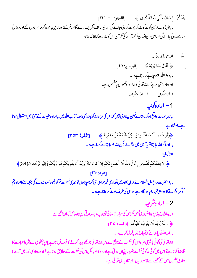يَتَذَكَّرُ الْإِنسَانُ وَأَنَّى لَهُ الذِّكْرَى ﴾ [الفجر: ٢١-٢٣] , , یقیناً جب ز مین کوٹ کوٹ کر پست کر دی جائے گی اور تیراما لک تشریف لائے گااورفر شتے قطاریں با ندھ کر حاضر ہوں گےاور دوزخ سامنے لائی جائے گی اوراس دن انسان کو بجھ آئے گی مگر آج اس کو بجھ سے کیا فائدہ؟،،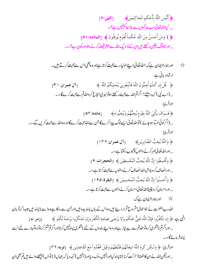﴿ أَلَيْسَ اللَّهُ بِأَحْكَمِ الْحَاكِمِينَ﴾ [التين: ٨] ,, کیااللہ تعالیٰ سب حا کموں سے بڑاحا *کم نہیں ہے؟،،* ﴿ ﴾ وَمَنْ أَحْسَنُ مِنَ اللَّهِ حُكُماً لِّقَوُمٍ يُوقِنُونَ ﴾ [المائده: • ٥] , , اور جولوگ یقین رکھتے ہیںان کےنز دیک اللہ سے بہتر فیصلہ کرنے والا اورکون ہے؟،،۔

اور ہماراایمان ہے کہ:اللہ تعالٰیٰ اپنےاولیاءسے محبت کرتا ہےاور وہ بھی اس سے محبت کرتے ہیں۔  $\approx$ ارشادر ہانی ہے: ﴿ قُلۡ إِن كُنتُمۡ تُحِبُّونَ اللَّهَ فَاتَّبِعُونِيۡ يُحۡبِبُكُمُ اللَّهُ ﴾  $\lceil "1 \rceil$ ل عمران: ا $\lceil " \rceil$ ,, (اے نبی) کہہ دیجئے! اگرتم اللہ سےمحبت رکھتے ہوتو میری انتاع کرواللہ تم سےمحبت کرےگا ،،۔ اورفر مايا: ﴿ فَسَوَفَ يَأْتِيُ اللَّهُ بِقَوَمٍ يُحِبُّهُمُ وَيُحِبُّونَهُ ﴾ [مائده: ٥٣] , , (اگرکوئی مرتد ہوجائے ) توالٹدنغالیٰ ایسےلوگ پیدا کرےگا جن سےالٹدمحبت کرےگااوروہ الٹد سےمحبت کریں گے،،۔ اورفر مايا: ﴿ وَاللَّهُ يُحِبُّ الصَّابِرِيُنِ﴾ [[آل عمران: ١٣٦] , , اوراللہ تعالیٰ صبر کرنے والوں کومحبوب رکھتا ہے،،۔ ﴿ وَأَقْسِطُوا إِنَّ اللَّهَ يُحِبُّ الْمُقْسِطِيْنَ ﴾ [الحجرات: 9] , , اورانصاف کرو ہلاشپہاللہ انصاف کرنے والوں سےمحبت کرتا ہے،،۔ ﴿ وَأَحْسِنُوَا إِنَّ اللَّهَ يُحِبُّ الْمُحْسِنِينَ ﴾ [البقرة: ٩٥] , , اوراحسان کر ویقیناًالله تعالیٰ احسان کرنے والوں سےمحبت کرتا ہے،،۔ حیل اورہماراایمان ہے کہ:

اللہ رب العزت نے جواعمال مشروع قرار دیئے ہیں وہ اس کے ہاں پسندیدہ ہیں اور جن سے روکا ہے وہ اسے ناپسند ہیں جیسا کہ فرمان الْهِي بِ: ﴿ إِن تَكْفُرُوا فَإِنَّ اللَّهَ غَنِيٌّ عَنكُمُ وَلَا يَرُضَى لِعِبَادِهِ الْكُفْرَ وَإِن تَشْكُرُوا يَرُضَهُ لَكُمُ ﴾ [زمر:4] , , اوراگرتم ناشکری کروتوالڈتم سے بے نیاز ہےاوروہاپنے بندوں کے لئے ناشکری پسنڈنبیں کرتااوراگرتم شکرکروتو وہ تمہارے لئے اسے يسدفر مائے گا،،۔

اورفرمايا: ﴿ وَلَكِن كَرِهَ اللَّهُ انبِعَاتَهُمُ فَتَبَّطَهُمُ وَقِيْلَ اقْعُدُواُ مَعَ الْقَاعِدِيُن ﴾ [توبه: ٢٣] , , اورلیکن الله نے ان کااٹھنا ( حرکت کرنا ) ناپسند کیااورانہیں روک دیااور (انہیں ) کہہ دیا کہ جہاں ( ناتواں ) بیٹھنے والے ہیں تم بھی ان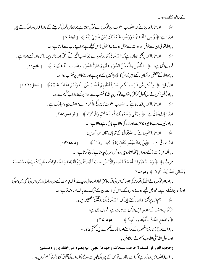کےساتھ بیٹھےرہو،،۔

اورآ سان اسکے داہنے ہاتھ میں لیٹے ہوئے ہوں گے۔اس کی ذات ان کےشرک سے پاک اور بلندتر ہے،،۔ ے۔<br>پڑے مہم اس پر بھی ایمان رکھتے ہیں کہ: اللہ تعالیٰ کی دوشیقی آنکھیں ہیں۔ جو کتاب وسنت کے مندرجہ ذیل دلائل سے ثابت ہے۔فرمان الہی ہے: ﴿وَاصُنَعِ الْفُلُكَ بِأَعْيُنِنَا وَوَحْيِنَا ﴾ [هود:٢٣] ,, (اپنوح)ہاری آنکھوں کے سامنےاورہار بے کم سےایک کشتی بناؤے، اوررسول الدُّصلي الدُّعليه دسلم نے ارشادفر مایا: (حجابه النور لو كشفه لاحرقت سبحات وجهه ما انتهى اليه بصره من خلقه )(رواه مسلم) , , اس (الله ) کا یرده نور ہۓاگراسے ہٹادےتواس کے چہرہ کی تجلیات حدنگاہ تک اس کی مخلوق کوجلا کرخا کسترکر دیں،،۔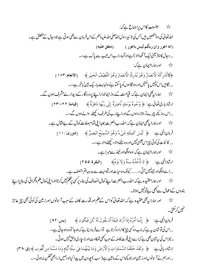\* اہلسنت کااس یراجماع ہے کہ: اللہ تعالیٰ کی دوآ تکھیں ہیں جس کی تائیدرسول اللہ صلی اللہ علیہ دسلم کےاس فرمان سےبھی ہوتی ہے جو د جال کے متعلق ہے۔ (انه اعور وان ربكم ليس باعور ) (متفق عليه) , , د حال کا نا ( یعنی ایک آ نکھ والا ) ہےاورتمہارارب اس عیب سے پاک ہے،،۔ حد اورہماراایمان ہے کہ: ﴿لاَتُدُرِكُهُ الْأَبْصَارُ وَهُوَ يُدُرِكُ الْأَبْصَارَ وَهُوَ اللَّطِيُفُ الْخَبِيرِ ﴾ [الانعام: ٢٠٢] , , نگامیں اس کونہیں پاسکتیںاور وہ نگاہوں کو پاسکتا ہۓ وہ نہایت بار یک بین ٗباخبر ہے،،۔ ح ہورا کیا ہے۔<br>اس کا راہے کی ایمان ہے کہ: قیامت کےروزا یماندارا پنے پروردگار کے دیدار سے مشرف ہوں گے۔ ارِثَادِبِارِكِ تَعَالَىٰ ہِ: ﴿ وُجُوهٌ يَوۡمَئِذٍ نَّاضِرَةٌ إِلَى رَبِّهَا نَاظِرَةٌ ﴾ [قيامة:٢٢-٢٣] ,,اس روز کچھ چہرے تر وتازہ ہوں گےاوراپنے رب کی طرف دیکھنے والے ہوں گے،،۔ ح بھی ساورہمارا پیچی ایمان ہے کہ:اللہ رب العزت بوجہا بنی تمام صفات کمال کے بے مثال ہے۔ فرمان اللي ہے: ﴿ لَيُسَ كَمِثْلِهِ شَيْءٌ وَهُوَ السَّمِيُعُ الْبَصِيرُ﴾ [شورى: ١١] , , كا ئنات كى كوئى چیز اس جیسى نہیں اور وہ سننے والا دىكھنے والا ہے،،۔ حی<sup>کہ</sup> اورہماراایمان ہے کہ:وہاونگھاورنیند سےمبراہے۔ ارِثَادالَٰہِ ہے: ﴿ لاَ تَأْخُذُهُ سِنَةٌ وَلاَ نَوُمٌ﴾ [البقرة: ٢٥٥] , , اسےاوْنگھاور نبینز پیس آتی ،،....... کیونکہ وہ حیات اور قیومیت سے بدرجہاتم متصف ہے۔ ن ساور ہماراعقىيدە ہے كہ:الله رب العزت اپنے كمال انصاف كى بناء پر سى پرطلم پيں كرتااورا پنى كمال علم وگرانى كى بنا پراپنے بندوں کےاعمال سےبھی بےخبرنہیں ہوتا۔ پڑ ہے۔ اور ہمارا بی<sup>بھی ع</sup>قبیدہ ہے کہ:اللّٰہ تعالٰی کواس کےعلم اور قدرت کاملہ کےسبب آ سانوں اور زمین کی کوئی بھی چیز عاجز نہیں کر سکتی۔<br>سمبیں کرسکتی۔ فرمانِ اللَّهِي بِ: ﴿ إِنَّمَا أَمْرُهُ إِذَا أَرَادَ شَيْئاً أَنْ يَقُولَ لَهُ كُنُ فَيَكُونَ ﴾ [يس: ٨٢] ,,اس کی توشان ہے ہے کہ جب وہ کسی چیز کاارادہ کرتا ہے ۔ تواسےفر مادیتا ہے کہ ہوجا' تو وہ ہوجاتی ہے،، ۔ نیز اس کی بیٹان بھی ہے کہا سےا پنی قوت کاملہ کے سبب بھی تھ کاوٹ اور لا جاری لاحق نہیں ہوتی ۔ ارِثادِرباني ہے: ﴿ وَلَقَدُ خَلَقْنَا السَّمَاوَاتِ وَالْأَرُضَ وَمَا بَيْنَهُمَا فِيُ سِتَّةِ أَيَّامِ وَمَا مَسَّنَا مِن لُّغُوب ﴾[ق:٣٨] , , اورہم نے آ سانوںاورز مین اور جو کچھاس کے ما بین ہے( سب ) جھ دن میں پیدا کیااور ہمیں ذ رابھی تھکن نہ ہوئی،،۔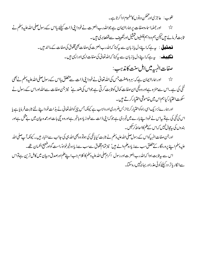لغوب: عاجز کیاورتھکن دونوں کامفہوم اداکرتا ہے۔ اور جملہاساءوصفات پر ہماراایمان ہے جواللہ رب العزت نےخودا پنی ذات کیلئے پااس کے رسول صلی اللہ علیہ دسلم نے ثابت فرمائے ہیں کیکن ہم دواہم غلطیوں تمثیل اورتکیپف سے قطعابری ہیں۔ قل**صنیل** : پہ ہے کہا ہے دل یاز بان سے پہ<sup>ر</sup>ہنا کہاللہ رب العزت کی صفات بھی مخلوق کی صفات کے مانند ہیں۔ <u> قەمھەيدە ، پە س</u>ەكەاپىينەدل ياز بان سے س<sub>ى</sub>كہنا كەللەتغالى كى صفات اليى اوراليى مېں بە صفات الهيهة ميں اہل سنت كامذہب:

اور ہماراا پمان ہے کہ: ہروہصفت جس کی اللہ تعالیٰ نےخودا بی ذات سے متعلق پااس کے رسول صلی اللہ علیہ دسلم نے بھی  $\vec{\lambda}$ نفی کی ہے۔اس سے منز ہ ہےاور وہ نفی ان صفات کمال کو ثابت کرتی ہے جواس کی ضد ہے' نیز جن صفات سےاللہ اوراس کے رسول نے سکوت اختیار کیاہم اس میں خاموشی اختیارکرتے ہیں۔

اور ہمارےنز دیک اسی راہ کواختیارکر ناازبس ضروری اورواجب ہے کیونکہ جس چیز کواللہ تعالیٰ نے بذات خوداپنے لئے ثابت فرمایاہے پا اس کی نفی کی ہےتو بیاس نےخودا پینے بارے میں خبر دی ہے جو کہا بی ذات سےخودزیادہ باخبر ہےاوروہ تیجی بات اورعمدہ بیان میں بے مثل ہےاور بندوں کی پیچال نہیں کہاس کے کم کااحاطہ کر تکیں۔

اورجن صفات الہیہ کواس کےرسول صلی اللہ علیہ دسلم نے ثابت کیا پانفی کی ہوتو وہ بھی اللہ ہی کی جانب سےاخبار ہیں ۔ کیونکہ آپ صلی اللہ علیہ دسلم اپنے بروردگار کے متعلق سب سے زیاد ہلم والے ہیں' نیز تمام مخلوق سےسب سے زیاد ہ خیرخواہٗ راست گواور فیبح اللسان تھے۔ اس سے بیرثابت ہوا کہاللہ رب العزت اور رسول اکرم صلی اللہ علیہ دسلم کا کلام جب اپنےعلم اورصدق وبیان میں کامل ترین ہےتواس سےانکار باتر دد کیلئے کوئی عذراور بہانی پیس رہ سکتا۔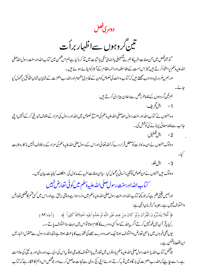دوسری فصل

تین گروہوں سےاظہار براُ ت

گذشته فصل میں جن صفات الہیہ کا ہم نےتفصیلی یااجمالیٗ نفی یااثبات میں تذکر ہ کیا ہےہم اس ضمن میں کتاب الله اورسنت رسول الله صلى الله علیہ دسلم پراعتمادکرتے ہیں نیز اس امت کےعلماسلف اورائمہءظام کےآ ثارکوا پنائے ہوئے ہیں۔

اورہم بیضروری دواجب سمجھتے میں کہ کتاب وسنت کی نصوص کوان کے ظاہری مفہوم اوراللّٰہ رب العزت کے شایان شان حقائق پرمحمول کیا حائے۔

- ہم تین گروہوں کےغلط طرزعمل سےاعلان بیزاری کرتے ہیں: 1- اہل تحریف: وہ جنہوں نے کتاب اللہ اورسنت رسول اللہ صلی اللہ علیہ دسلم کی صریح نصوص میں اللہ اور رسول کی مراد کے خلاف تبدیلی کر کے انہیں اپنی جانب سےغلط معانی بہنانے کی کوشش کی۔ 2- اہل تعطیل: وہلوگ جنہوں نے ان مدلولا ت کومعطل قرار دےکر ٗاللہ تعالیٰ اوراس کے رسول صلی اللہ علیہ دسلم کی مراد کے برخلاف انہیں نا کارہ ثابت کیا۔
	- 3- اہل غلو: وہلوگ ہیںجنہوں نےان نصوص کوتشیہ انسانی پرمحمول کیا ،پاان صفات الہیہ کے مدلول کی بتعکان کیفیات بیان کیں۔ ستماب الله اورسنت رسول صلى الله عليه دسلم ميں كوئى تعارض *نہيں*

اورہمیں یقینی علم ہے کہ جو کچھ کتاب اللہ اورسنت رسول صلی اللہ علیہ دسلم میں وارد ہوا ہے وہ پنی برحق ہےاوراس میں سی قسم کاقطعی تعارض واختلاف *نہیں ہے۔جیسا کہ فر*مان الہٰی ہے:

> ﴿ أَفَلَا يَتَدَبَّرُونَ الْقُرْآنَ وَلَوُ كَانَ مِنْ عِندِ غَيْرِ اللَّهِ لَوَجَدُواُ فِيهِ احْتِلَافاً كَثِيراً ﴾ [العاء:٨٢] ,,کیا پتر آن میںغورنہیں کرتے اگر پیاللہ کےسواکسی دوسرے کا کلام ہوتا تواس میں بہت سااختلاف پاتے ،،۔

یوں بھی خبروں میں باہمی تعارض واختلاف ہوناایک حصہ دوسرے حصے کی تکذیب کا باعث ہوتا ہے جبکہ اللہ ورسول سے منقول اخبار میں ایباقطعاناممکن ہے۔

جوشخص كتاب الله بإسنت رسول صلى الله علىيه دسلم يادونوں ميں تعارض يااختلاف كامدعى ہوتو بياس كى د لى بےراہ روى اور بد نيتى كى علامت ہے۔اسے چاہیے کہاللہ رب العزت کی بارگاہ میں تو بہ کرتے ہوئے اپنی کج روی سےنجات حاصل کرےاور جو تنخص اس وہم کا شکار ہے کہ کمآب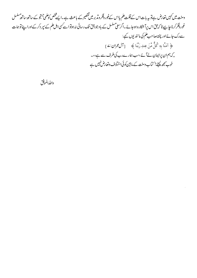وسنت میں کہیں تعارض ہے تو یہ بات اس کے قلت علم یااس کےغور وفکر ومذبر میں تقصیر کے باعث ہے ۔ایسے محض کوملمی جسجو کے ساتھ ساتھ مسلسل غور فکرکرناچا ہیے تا کہ جق اس پرآ شکارہ ہوجائے۔اگرسعی سلسل کے باوجود حق تک رسائی نہ ہوتو اسے کسی اہل علم کے سپر دکر کےاوراپنے توہمات سےرک جائےاور پختہ صاحب علم کی مانندیوں کہے: ﴿ آمَنَّا بِهِ كُلٌّ مِّنُ عِندِ رَبَّنَا ﴾ [آل عمران: 4] ,,کہ ہم ان پرایمان لےآئے،سب ہمارےرب کی طرف سے ہے،،۔ خوب پمجھ لیجئے! کتاب دست کے ما بین کوئی اختلاف وتعارض نہیں ہے

واللدالموفق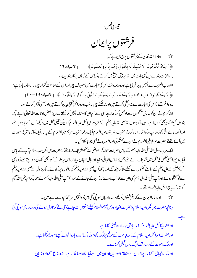تيسرىفصل:

فرشتوں پرایمان

حی<sup>ہ</sup> ہمارا اللہ تعالیٰ کے فرشتوں یرایمان ہے کہ: ﴿ ْعِبَادٌ مُّكْرَمُونَ لَا يَسُبِقُونَهُ بِالْقَوَلِ وَهُم بِأَمْرِهِ يَعْمَلُونَ﴾ [الانبياء:٢٦] , , باعزت بندے ہیں کسی بات میں اللہ پر پپشِ دسی نہیں کرتے بلکہاس کےفرمان پرکار بند ہیں،،۔ الله رب العزت نے انہیں پیدافر مایا ہےاوروہ ہمہ دفت اس کی عبادت میں مصروف ہیں اوراس کےاطاعت گزار ہیں۔ارشادر بانی ہے: ﴿ لَا يَسۡتَكۡبُرُونَ عَنۡ عِبَادَتِهِ وَلَا يَسۡتَحۡسِرُونَ يُسَبِّحُونَ اللَّيۡلَ وَالنَّهَارَ لَا يَفۡتُرُونَ ﴾ [الانبياء: ٩ ا - ٢٠] ,,وہ( فرشتے )اس کی عبادت سے نہ سرکشی کرتے ہیں اور نہ تھکتے ہیں ۔شب وروزاسکی تنبیج بیان کرتے ہیں اورسستی نہیں کرتے ،،۔ اللّٰہ کریم نے ان کو ہماری آنکھوں سے ادجھل کررکھا ہےٗاسی لئے ہم ان کا مشاہدہ نہیں کر سکتے ۔ہاں! بعض اوقات الله تعالیٰ اپنے کچھ بندوں کیلئے ظاہربھی کردیتا ہے۔جیپیا کہ رسول الڈیسلی الڈرعلیہ دسلم نے حضرت جرائیل علیہ السلام کوان کی حقیقی شکل میں دیکھا'ان کے چھ سو پر تھے اورانہوں نے افق کو ڈھانپ رکھا تھا۔اس طرح حضرت جبرائیل علیہ السلام ایک دفعہ حضرت مریم علیہاالسلام کے پاس ایک کامل بشر کی صورت میںآ ئے تھےتو حضرت مریم علیہاالسلام نے ان سے گفتگو کی اورانہوں نے بھی جوابًا کلام کیا۔

ایک مرتبہ رسول الڈ صلی الڈرعلیہ دسلم کے پاس حضرات صحابہ *کر*ام رضی الڈیمنہم تشریف فرما تھے کہ حضرت جمرائیل علیہ السلام آپ کے پاس ایک ایسے اجنبی شخص کی شکل میں تشریف لائے تھےجس کالباس انتہائی سفیداور بال انتہائی سیاہ اوراس پرسفر کے آ ثاربھی دکھائی نہ دیتے تھے تو وہ نبی کریم صلی اللہ علیہ دسلم کے سامنے تھٹنوں سے گھٹنے ملاکر بیٹھ گئے اور ہاتھ آپ صلی اللہ علیہ دسلم کی رانوں پررکھ لئے۔ پھررسول اللہ صلی اللہ علیہ دسلم سے گوگفتگوہوئے اورآپ صلی الڈرعلیہ دسلم بھی ان سے مخاطب ہوئے۔(ان کے جانے کے بعد ) آپ صلی الڈرعلیہ دسلم نے صحابہ کرام رضی الڈعنہم كوبتايا كەرىپەجرائیل علىپەلسلام تھے۔

حی<sup>کہ</sup> اور ہماراایمان ہے کہ:فرشتوں کو کچھ ذمہ داریاں سونی گئی ہیں'وہ انہیں سرانجام دےرہے ہیں۔ چنانچه حضرت ج<sub>را</sub>ئيل عليه السلام كوحضرات انبياء ورسل عليهم السلام كيليّ<sup> جن</sup>هبيں الله ح<u>ا</u> ہے'وحی لے كرنازل ہونے كى ذ مہ دارى سونيى گئى

> اورحضرمیکائیل علیہالسلام کہ ذیبہ بارش برسا نااورکھیتی اگاناہے۔ اور حضرت اسرافیل علیہ السلام کے ذی**یہ قیامت کےموقع پرلوگوں کو بیہو**ژں کرنااور دوبارہ اٹھانے کیلئےصور پھونکنا ہے۔ اور ملک الموت کے ذید وقت مرگ روح قبض کرنا ہے۔ اور ملک الجبال کے ذیہ پہاڑ وں سے متعلقہ امور ہیں**اوران میں سےایک کا نام مالک ہے۔جودوز خ کےداروغہ ہیں۔**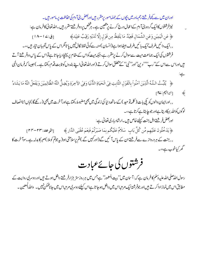اوران میں سے کچھ فر شتے رحم مادر میں بچوں کے جملہ امور برمقرر ہیں اور بعض بنی آ دم کی حفاظت پر مامور ہیں۔ نیز فرشتوں کاایک گروہ بنیآ دم کےاعمال درج کرنے پر متعین ہے۔ ہڑشخص پردوفر شتے مقرر ہیں۔اللہ تعالیٰ کا فرمان ہے: ﴾ عَنِ الْيَمِيُنِ وَعَنِ الشِّمَالِ قَعِيدٌ مَا يَلْفِظُ مِن قَوْلِ إِلَّا لَدَيْهِ رَقِيُبٌ عَتِيدَ﴾ [ق:١٨-١٨] , , ایک دائمیں طرف ٗایک بائمیں طرف بیٹھاہوا ہے(انسان )منہ سے کوئی لفظ نکال نہیں یا تامگراس کے پاس نگہبان تیار ہیں،،۔ فرشتوں کی ایک جماعت میت سے سوال کرنے پر مقرر ہے،جبکہ میت کواس کے مقام پر پہنچا دیاجا تا ہے تواس کے پاس دوفر شتے آتے میںاوراس سےاس کے''رب''' دین''اور'' نبی'' کے متعلق سوال کرتے (اوراللہ تعالیٰ اپنے بندوں کو ثابت قدم رکھتا ہے۔)حبیبا کہ فرمان الہٰی  $\frac{1}{\epsilon}$ 

﴿ يُثِّبَتُ اللَّهُ الَّذِينَ آمَنُواُ بِالْقَوْلِ الثَّابِتِ فِي الْحَيَاةِ الدُّنْيَا وَفِي الآخِرَةِ وَيُضِلُّ اللّهُ الظَّالِمِينَ وَيَفُعَلُ اللّهُ مَا يَشَاءُ [ابراہیم:۲۷] 變

, , اورایمان والوں کو یکی بات ( کلمہ تو حید ) کے ساتھ دنیا کی زندگی میں بھی مضبوط رکھتا ہےاورآ خرت میں بھی ( رکھےگا ) ہاں! ناانصاف لوگوں کواللہ بہکادیتا ہےاور جوجا ہتاہےکرتا ہے،،۔ اوربعض فر شتة اہل جنت کیلئے خاص ہیں۔ارشاد باری تعالیٰ ہے:

﴾ يَدُخُلُونَ عَلَيُهِم مِّن كُلِّ بَابِ ۖ سَلَامٌ عَلَيُكُم بِمَا صَبَرْتُمُ فَنِعُمَ عُقُبَى الدَّارِ ﴾ [الرعد:٢٣-٣٣] ,,جنت کے ہر دروازے سےفر شتے ان کے پاس آئیں گے(اورکہیں گے )تم پرسلامتی ہو( پہ جوتم کوملا )صبر کا بدلہ ہے۔سوآ خرت کا گھر کیاخوب ہے،،۔

رسول الڈصلی الڈ علیہ دسلم کا فرمان ہے کہ : آ سان میں'' بیت المعمور'' ہےجس میں ہرروز ستر ہزارفر شتے داخل ہوتے ہیں اور دوسری روایت کے مطابق اس میں نمازادا کرتے ہیںاور جوفرشتہا یک مرتبہاس میں داخل ہوجا تا ہےاس کیلئے دوسری مرتبہاس میں جاناممکن نہیں۔ والله لمعین ۔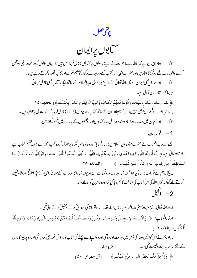چوڭنى فصل:

*گی*ابوں پرایمان

ح کیل میں بھاراایمان ہے کہ:اللہ رب العزت نے اپنے رسولوں پر کتابیں نازل فرمائمیں ہیں جو جہاں والوں کیلئے حجت ال<sub>ل</sub>ی او*رثم*ل کرنے والوں کے لئے روشنی کامینار ہیںاورحضرات انبیاءان کتب کے ذیر بعیہ سےلوگوں کوفعلیم حکمت اورتز کیہءنفوں کرتے رہے ہیں۔ اور ہمارا بیچی ایمان ہے کہ:اللہ تعالیٰ نے اپنے ہررسول علیہ السلام کے ساتھ ایک کتاب بھی نازل فر مائی۔  $\approx$ جېيپا کەارشاد بارى تعالى ہے: ﴿ لَقَدُ أَرُسَلْنَا رُسُلَنَا بِالْبَيِّنَاتِ وَأَنزَلْنَا مَعَهُمُ الْكِتَابَ وَالْمِيْزَانَ لِيَقُومَ النَّاسُ بِالْقِسُطَ﴾[الحديد: ٢٥] , , بلاشبہ ہم نے پینجمبروں کوکھلی دلیلیں دے کربھیجااوران کے ساتھ کتاباور میزان ( تراز و ) نازل فر مایا کہ لوگ عدل پرقائم ر ہیں،،۔ اورہم ان میں سب سے زیادہ مندرجہ ذیل جارکتابوںاور دو محیفوں کے بارے میں علم رکھتے ہیں:  $\approx$ 1- تورات

جسے اللہ رب العزت نے حضرت مو<sub>ک</sub>یٰ علیہ السلام پر نازل فر مایا' اور وہ بنی اسرائیل پر نازل کر دہ کتب میں سے بہت عظیم کتاب ہے ـارِثارِرباني ہے:﴿ إِنَّـا أَنـزَلْنَا التَّوُرَاةَ فِيهَا هُدًى وَنُورٌ يَحُكُمُ بِهَا النَّبِيُّونَ الَّذِيْنَ أَسُلَمُواُ لِلَّذِيْنَ هَادُواُ وَالرَّبَّانِيُّونَ وَالْأَحْبَارُ بِمَا اسُتُخفِظُواُ مِن كِتَابِ اللَّهِ وَكَانُواُ عَلَيْهِ شُهَدَاءِ ﴾ [الممائده:٣٣]

,, پیشک ہم نے تورات نازل کیا تھا جس میں ہدایت وروشنی ہے ۔ یہودیوں میں اسی تورات کےمطابق انبیاءکرام'مشائخ اورعلاء فیصلے کرتے تھے کیونکہ انہیںاللّٰہ کی اس کتاب کی حفاظت کاحکم دیا گیاتھااوروہ اس پر گواہ تھے،،۔

2- انجيل

اسےاللہ تعالیٰ نے حضرت عیسیٰ علیہ السلام پرنازل فرمایاتھا۔اوروہ تورا ۃ کی تصدیق کرنے ویکھیل کرنے والی تھی۔

ارثاداللي ہے: ﴿ وَآتَيۡنَـاهُ الإِنجِيَٰلَ فِيَٰهِ هُـدًى وَنُورٌ وَمُصَدِّقِـاً لِّـمَـا بَيْنَ يَدَيۡهِ مِنَ التَّوْرَاةِ وَهُدًى وَمَوۡعِظَةً لِّكُمُتَّقِيَنِ﴾[المائده:٢٦]

, , اورہم نے اس کوانجیل عطا کی جس میں مدایت اور روشنی اور وہ اپنے سے پہلے کی کتاب تو را ۃ کی تصدیق کرتی تھی اور وہ پر ہیز گاروں کے لئے سراسر مہرایت دفعیحت تھی،،۔ مزيدِفرمايا: ﴿ وَلِأُجِلَّ لَكُم بَعُضَ الَّذِي حُرِّمَ عَلَيْكُمْ ﴾ [آل عمران : • ۵]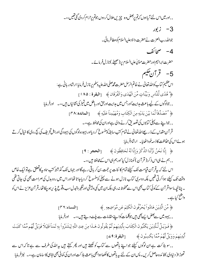, , اور میں اس لئے آیا ہوں کہ تم یربعض وہ چیز بںحلال کر دوں جوتم یرحرام کر دی گئی تھیں ،،۔  $i$   $-3$ جواللدرب العزت نےحضرت داؤدعلیہالسلام کوعطافر مائی۔ 4- صحائف حضرت ابراہیم اور حضرت موّیٰ علیہ السلام پر (صحیفے ) نازل فرمائے۔ 5- قرآن عکیم اس عظیم کتاب کواللہ تعالیٰ نے خاتم الرسل حضرت مجم<sup>صلی</sup> اللہ علیہ دسلم پر نازل فرمایا:ارشادر بانی ہے: ﴾ هُدًى لِّلنَّاس وَبَيِّنَاتٍ مِّنَ الْهُدَى وَالْفُرُقَانِ ﴾ [البقرة : ١٨٥] , , جولوگوں کے لیے باعث مدایت'اورجس میں مدایت اورحق اور باطل میں تمیز کی نشانیاں ہیں،،۔ اورفر مایا: ﴾ \* مُصَدِّقاً لِّمَا بَيْنَ يَدَيْهِ مِنَ الْكِتَابِ وَمُهَيُمِناً عَلَيْهِ ﴾ [المائده: ٣٨] , , جوایینے سے پہلی کتابوں کی تصدیق کرنے والی ہےاوران کی محافظ ہے،،۔ قر آن مقدس کے ذریعےاللہ تعالیٰ نے تمام کتب سابقہ کومنسوخ کر دیااور بیہود ہادگوں کی بیہودگی اوراہل تحریف کی تج روی کا خیال کرتے ہوئےاس کی حفاظت کا ذمہ خودا ٹھایا۔ ارشادفرمایا:

﴿ إِنَّا نَحْنُ نَزَّلْنَا الذِّكْرَ وَإِنَّا لَهُ لَحَافِظُونَ ﴾ [الحجر: ٩] , , ہم نے ہی اس ذکر ( قر آن ) کونازل کیا'اورہم ہی اس کےمحافظ میں،،۔

اس لئے کہ بیقر آن قیامت تک کیلئے تمام کا ئنات پر حجت بن کر باقی رہے گااور جہاں تک گذشتہ کتب ساویہ کاتعلق ہےتوایک خاص وقت تک کیلئے ہواکرتی تھیں بلکہ دوسری کتاب نازل ہونے سے پہلی کومنسوخ کردیاجا تا تھااوراس میں ردوبدل کی صراحت بھی کی جاتی تھی ۔ چنانچہ ماسواقر آن کے کوئی کتاب بھی اس سے محفوظ نہ رہی بلکہان میں کمی وبیشی اورتغیر وتبدل سب وقوع پذیر ہو چکا تھا قر آنعزیز نے اس کو واضح کیاہے۔

> ﴿ مِّنَ الَّذِيْنَ هَادُواُ يُحَرِّفُونَ الْكَلِمَ عَنِ مَّوَاضِعِهِ ﴾ [النساء: ٣٦]

﴿ فَوَيُلْ لِّلَّذِينَ يَكْتُبُونَ الْكِتَابَ بِأَيْدِيهِمْ ثُمَّ يَقُولُونَ هَـذَا مِنْ عِندِ اللّهِ لِيَشْتَرُوا بِهِ تَمَنَّا قَلِيُلاً فَوَيْلٌ لَّهُم مِّمَّا كَتَبَتُ أَيْدِيهِمْ وَوَيْلٌ لَّهُمْ مِّمَّا يَكْسِبُونَ ﴾ [البقرة: 4 ]]

, , سو ہلاکت ہے ان لوگوں کیلئے جواپنے ہاتھوں سے کتاب کو لکھتے ہیں اور پھر کہتے ہیں پہ الٹدکی طرف سے ہے تا کہ اس سے تھوڑ ا( د نیاوی )فائدہ حاصل کریں۔ پس ان کے لئے بیہ ہاتھوں کالکھاہوابھی باعث ہلاکت اوران کی کمائی بھی نتابہی کاسامان ہے،،۔ نیزفر مایا: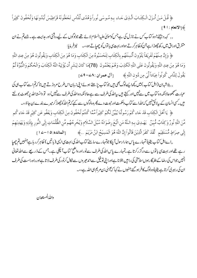﴿ قُلْ مَنْ أَنـزَلَ الْكِتَـابَ الَّـذِي جَـاء بـهِ مُـوسَى نُوراً وَهُدًى لِّلَّنَّاس تَجْعَلُونَهُ قَرَاطِيُسَ تُبُدُونَهَا وَتُخفُونَ كَثِيراً ﴾ [الانعام: 91]

,, کہہ دیجئے!وہ کتاب *کس نے* نازل کی ہےجس کوموّیٰ علیہ السلام لائے تھے جولوگوں کے لیےروثنی اور مہرایت ہے۔ جسےتم نے ان متفرق اوراق میں رکھ چھوڑ اہے جن کوظاہر کرتے ہواور بہت <sub>ک</sub>ی باتوں کو چھپاتے ہو،،۔ نیز فرمایا:

﴿ وَإِنَّ مِنْهُمُ لَفَرِيُقاً يَلُوُونَ أَلْسِنَتَهُم بِالْكِتَابِ لِتَحْسَبُوهُ مِنَ الْكِتَابِ وَمَا هُوَ مِنَ الْكِتَابِ وَيَقُولُونَ هُوَ مِنْ عِندِ اللّهِ وَمَا هُوَ مِنُ عِندِ اللَّهِ وَيَقُولُونَ عَلَى اللَّهِ الْكَذِبَ وَهُمْ يَعُلَمُونَ (78)مَا كَانَ لِبَشَرِ أَن يُؤْتِيَهُ اللَّهُ الْكِتَابَ وَالْحُكْمَ وَالنُّبُوَّةَ ثُمَّ يَقُولَ لِلنَّاسِ كُونُواُ عِبَاداً لِّي مِن دُونِ اللَّهِ ﴾ [آل عمران :24-44]

, , بلاشیران (اہل کتاب ) میں کچھا یسےلوگ بھی ہیں جوکتاب بڑھتے ہوئے اپنی زبان اس طرح مروڑ تے ہیں تا کہ تم اسے کتاب ہی کی عبارت شمجھوحالانکہ وہ کتاب میں سے نہیںاور کہتے ہیں بیاللّٰہ کی طرف سے ہےحالانکہ وہ اللّٰہ کی طرف سے نہیں وہ تو دانستہ اللّٰہ یرجھوٹ بولتے میں <sup>کس</sup>ی انسان کے پیلائق نہیں کہ اللہ اسے کہاب دحکمت اورنبوت دے پھروہ لوگوں سے کہے کہ تم اللہ کوچھوڑ کرمیرے بندے بن جاؤ،،۔

﴿ يَا أَهُلَ الْكِتَابِ قَدُ جَاءِ كُمْ رَسُولُنَا يُبَيِّنُ لَكُمْ كَثِيُراً مِّمَّا كُنتُمْ تُخفُونَ مِنَ الْكِتَابِ وَيَعْفُو عَن كَثِيرٍ قَدُ جَاء كُم مِّنَ اللَّهِ نُورٌ وَكِتَابٌ مُّبِينٌ ۖ يَهَـٰدِيُ بِـهِ اللَّهُ مَنِ اتَّبَعَ رضُوَانَهُ سُبُلَ السَّلَامِ وَيُخُرجُهُم مِّن الظُّلُمَاتِ إِلَى النُّور بإذُنِهِ وَيَهْدِيهِمُ إِلَى صِرَاطٍ مُّسۡتَقِيۡمٍ لَّقَدُ كَفَرَ الَّذِيۡنَ قَالُواۡ إِنَّ اللَّهَ هُوَ الۡمَسِيحُ ابۡنُ مَرْيَمَ ..﴾ [المائده: ١٥-٢٥] ,,اےاہل کتاب یقیناً تمہارے پاس ہمارارسول آ چکا جوتمہارےسامنے کتاب اللہ کی بہت سی الیپی ( پا تیں ) ظاہرکرر ہاہےجنہیںتم چھپا

ر ہے تھےاور بہت سی باتوں سے درگز رکرتا ہے ۔تمہارے پاس اللہ کی طرف سےنوراور واضح کتاب آپچکی ہے۔جس کے ذریعے سےاللہ تعالی انہیں جواس کی رضا کے طلبگار ہوںسلامتی کی را ہیں بتلا نا ہےاورا بی تو فیق سےاندھیر وں سے نکال کرنور کی طرف لا تا ہےاورراہ راست کی طرف ان کی رہبری کرتا ہے یقیناًوہ لوگ کافر ہو گئے جنہوں نے کہا کہ پیسیٰ بن مریم ہی اللہ ہے،،۔

واللهالمستعان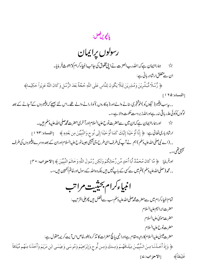يانچويںفصل:

رسولوں پرایمان

ہماراایمان ہے کہ:اللہ رب العزت نے اپنی مخلوق کی جانب انبیاءکرام کومبعوث فر مایا۔  $\frac{1}{2}$ ان سے متعلق <sub>ارشادر با</sub>نی ہے:

﴿ رُّسُلًّا مُّبَشِّرِيْنَ وَمُنذِرِيْنَ لِئَلَّا يَكُونَ لِلنَّاسِ عَلَى اللّهِ حُجَّةٌ بَعُدَ الرُّسُل وَكَانَ اللّهُ عَزِيْزاً حَكِيماً﴾ [النساء: ١٩٥]

- , , بیرسب پنجیمبر( نیکوںکو )خوشخبری سنانے والےاور( بدکاروں )کو ڈرانے والے تھے۔اس لئے بھیجے کہ پنجیمبروں کےآجانے کے بعد لوگوں کوکوئی عذر یاقی نیر ہےاوراللہ زبر دست حکمت والا ہے،،۔
	- ح اور ہماراایمان ہے کہان میں سے حضرت نوح علیہالسلام اورآخری حضرت محم<sup>صل</sup>ی اللہ علیہ دسلم ہیں۔
- ارِثَادبارىتقالَى بِ: ﴿ إِنَّا أَوُحَيْنَا إِلَيْكَ كَمَا أَوُحَيْنَا إِلَى نُوحٍ وَالنَّبِيِّينَ مِن بَعْدِهِ ﴾ [النساء: ١٢٣] , , (اے نبی صلی اللہ علیہ دسلم ) ہم نے آپ کی طرف اسی طرح وی پیچی جیسانوح علیہ السلام اوران کے بعد دوسرے پنجمبروں کی طرف بھیج تھی،،۔
	- اورفرمايا: ﴿ مَّا كَانَ مُحَمَّدٌ أَبَا أَحَدٍ مِّن رِّجَالِكُمْ وَلَكِن رَّسُولَ اللَّهِ وَخَاتَمَ النَّبِيِّينَ ﴾ [الاحزاب: ٣] , , محمد(صلی اللہ علیہ دسلم )تم میں سے سی کے باپنجیں ہیں بلکہ وہ اللہ کے رسول اور خاتم النبیین ہیں،،۔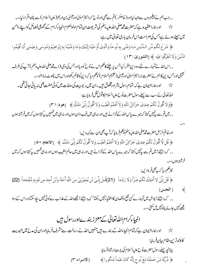, , جب ہم نے پیغمبروں سے عہدلیااور( خاصکر )تم سے بھی اورنوح'ابراہیم'موسیٰ اور کیسیٰ بن مریم( علیہالسلام ) سے پختہاقرارلیا،،۔ ☆ اور ہماراعقیدہ ہے کہ حضرت محم<sup>صل</sup>ی اللہ علیہ دسلم کی شریعت ان تمام اولوالعزم انبیاءکرام کے مجموعی فضائل کواپنے دامن میں سیٹے ہوئے ہےجس کی صراحت اس فرمان باری تعالیٰ میں ہے:

﴿ شَرَعَ لَكُم مِّن اللَّهَيْنِ مَا وَصَّى بِهِ نُوحاً وَالَّذِي أَوْحَيْنَا إِلَيْكَ وَمَا وَصَّيْنَا بِهِ إِبْرَاهِيْمَ وَمُوسَى وَعِيْسَى أَنْ أَقِيْمُوا الدِّينَ وَلَا تَتَفَرَّقُوا فِيَهِ ﴾ [الشورى :١٣]

, , اس اللہ نے تمہارے لئے وہ دین مقرر کیا جس پر چلنے کاحکم اس نے نوح کودیااورجس کی وی (اےمحم<sup>صل</sup>ی اللہ علیہ دسلم ) آپ کی طرف نجیجی اورجس دین کا ہم نے حضرت ابراہیم'مو<sub>س</sub>یٰ اور میسیٰ (علیہم السلام ) کوحکم دیا کہ دین کوقائم رکھواوراس میں پھوٹ نہ ڈ الو،،۔

پڑ ہے۔ اور ہماراایمان ہے کہ: تمام رسول بشراورمخلوق ہیں۔ان میں ر بو بیت کی صفات میں کوئی صفت بھی نہ پائی جاتی تھی۔ الڈرتعالٰی نے سب سے پہلے رسول حضرت نوح علیہ السلام کا قول نقل فرمایاہے:

﴿وَلَا أَقُولُ لَكُمْ عِندِي خَزَآئِنُ اللَّهِ وَلَا أَعَلَمُ الْغَيْبَ وَلَا أَقُولُ إِنِّي مَلَكٌ ﴾ [هود: ٣١]

, , میں تم سے پنہیں کہتا کہ میرے پاس اللہ کےخزانے میں اور نہ ہی میںغیب دان ہوں اور نہ ہی میں تہہیں پہ کہتا ہوں کہ میںفرشتہ ہوں

اورخاتم الرسل حضرت محم<sup>صل</sup>ی الله علیه دسلم کوحکم فر مایا که آپ بھی ان سے کہہ دیں: ﴿ قُل لَّا أَقُولُ لَكُمْ عِندِيُ خَزَآئِنُ اللّهِ وَلا أَعَلَمُ الْغَيْبَ وَلا أَقُولُ لَكُمْ إِنِّي مَلَكٌ ﴾ [الانعام: • ٥] , , کہ دیجئے! میں تم سے پنہیں کہتا کہ میرے پاس اللہ کےخزانے میں اور نہ ہی میں عالم الغیب ہوں اور نہ ہی تہہیں بی<sup></sup> ہتا ہوں کہ میں فرشته بوں،،

نيزحكم ديا كه بهُجىفرمادين:

﴿ قُلْ إِنِّي لَا أَمْلِكُ لَكُمْ ضَرّاً وَلَا رَشَداً (21)قُلْ إِنِّي لَن يُجِيَرَنِي مِنَ اللَّهِ أَحَدْ وَلَنُ أَجِدَ مِن دُونِهِ مُلْتَحَداً (22) [ الجسن] ₩

, , كەدىيچىَ !بلاشبەمىن تمہار \_كسى نفع ونقصان كااختيار پميں ركھتا' كہہ دييچےَ ! مجھےاللہ كے عذاب سےكوئى نہيں بچاسكتااوراس كے سوا مجھے کہیں جائے پناہ نہیں مل سکتی ،،۔

#### انبیاءکرام اللہ تعالیٰ کے معزز بندےاوررسول ہیں

ح کہا جاتا ہے کہ ان ان کی ان کے ان کا ان کے بندے میں جنہیں اللہ نے رسالت سے مشرف فرمایااوران کی م*دح میں عبد یت* كابلندترين مقام بيان فرمايا:

> چنانچه پہلے رسول حضرت نوح علیہ السلام کی بابت ارشادفر مایا: ﴿ ذُرِّيَّةَ مَنْ حَمَلْنَا مَعَ نُوحٍ إِنَّهُ كَانَ عَبُداً شَكُورا ﴾ [الاسراء:٣]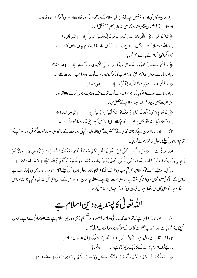, , اےان لوگوں کی اولا د! جنہیں ہم نےنوح علیہ السلام کےساتھ سوارکر دیا تھاوہ ہمارا بڑا ہی شکرگز ار بند ہ تھا،،۔ اور ہمارےآ خرالز مان پیغمبرحضرت محم<sup>صلی</sup> اللہ علیہ دسلم کے متعلق فر مایا: ﴿ تَبَارَكَ الَّذِي نَزَّلَ الْفُرُقَانَ عَلَى عَبُدِهِ لِيَكُونَ لِلْعَالَمِيْنَ نَذِيْراً ﴾ [الفرقان: 1] , , وہاللہ بہت بابرکت ہےجس نےاپنے بندے پرقر آن اتارا تا کہ دہ تمام جہاں والوں کوڈ رائے،،۔ نیز دیگرانبیاءکرام کے بارے میںفرمایا: ﴿ وَاذْكُرُ عِبَادَنَا إِبْرَاهِيُمَ وَإِسْحَاقَ وَيَعْقُوبَ أُوُلِيُ الْأَيْدِيُ وَالْأَبْصَارِ ﴾ [ص:٣٥] , , اور ہمارے بندوں ابراہیم'ایلخ" اور یعقوب کا ذکرکر وجوصاحب قوت اورصاحب بصارت تھے،،۔ ﴿ وَاذْكُرُ عَبُدَنَا دَاوُودَ ذَا الْأَيْدِ إِنَّهُ أَوَّابٍ﴾ [ص:ك1] , , اورہمارے بندےداؤدکو پادکروجو بڑاصاحب قوت تھاپےشک وہ بہت رجوع کرنے والاتھا،،۔ نيز حضرت عيسلى بن مريم عليه وعليهاالسلام كے متعلق فرمايا: ﴿ إِنْ هُوَ إِلَّا عَبُدٌ أَنَعَمُنَا عَلَيْهِ وَجَعَلْنَاهُ مَثَلاً لِّبَنِي إِسْرَائِيلَ ﴾ [الزخرف: ٥٩]

, , وەنۆہماراایک بندہ تھاجس پرہم نےانعام کیااور بنی اسرائیل کیلئے اپنی فتدرت کانمونہ قرار دیا،،۔

☆ اور ہماراایمان ہے کہ:اللّٰہ تعالٰی نے آنخضرت صلٰی اللّٰہ علیہ دسلم کی رسالت کے ساتھ ہی سلسلہ نبوت ختم فر مادیااورآپ کو تمام انسانوں کیلئے رسول بنا کرمبعوث فرمایا۔

ارِثادِرباني ہے: ﴿ قُلُ يَا أَيُّهَا النَّاسُ إِنِّي رَسُولُ اللَّهِ إِلَيْكُمْ جَمِيعاً الَّذِي لَهُ مُلَكُ السَّمَاوَاتِ وَالْأَرُضِ لا إِلَـهَ إِلَّا هُوَ يُحيىُ وَيُمِيتُ فَآمِنُوا بِاللّهِ وَرَسُولِهِ النَّبِيِّ الْأُمِّيِّ الَّذِي يُؤُمِنُ بِاللّهِ وَكَلِمَاتِهِ وَاتَّبِعُوهُ لَعَلَّكُمْ تَهْتَدُونَ﴾ [الاعراف:٥٨ ]

,, کہہ پہ بیچئے!اےلوگو! بلاشبہ میںتم سب کی طرف اللہ کا (بھیجا) ہوارسول ہوں جس کیلئے تمام آسانوں اور زمین کی بادشاہت ہے ۔اس کےسواکوئی معبودنہبیںٔ وہی زندگی بخشا ہےاور وہی موت دیتا ہے۔سواللہ یرا بمان لا ؤاوراس کےرسول امی صلی الله علیه دسلم یر جواللہ اوراس کے کلام پر (خود ہی)ا پمان رکھتا ہےاس کی پیروی کروتا کہ تم مہرایت حاصل کرو،،۔

ح بار السام السابع العالمية السابع العام العام عن السلم العام العام السلام العام العام السابع بندول المستخدم ال کیلئے پسندفر مایاہےاورالڈررب العزت کواس کےسواکوئی دوسرامذہب قبول نہیں۔ جِيها كمارشادبارى تعالى بِ: ﴿ إِنَّ الدِّيْنَ عِندَ اللَّهِ الإِسْلَامُ﴾ [آل عمران : ١٩] , , بےشک اسلام ہی اللہ کےنز دیک دین حق ہے،،۔ اورفر مایا: ﴿ الْيَوْمَ أَكْمَلْتُ لَكُمْ دِينَكُمْ وَأَتُمَمْتُ عَلَيْكُمْ نِعْمَتِي وَرَضِيتُ لَكُمُ الإِسْلاَمَ دِيناً ﴾ [المائده:٣]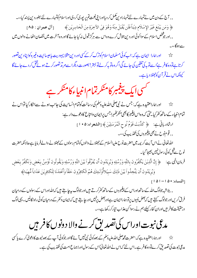, , آج کے دن میں نے تمہارے لئے تمہارادین کمل کر دیااورا پنی نعمت تم پر پوری کر دیااوراسلام کوتمہارے لئے بطور دین پسند کیا،،۔ ﴿ وَمَن يَبْتَغ غَيْرَ الإِسُلَامِ دِيُناً فَلَن يُقْبَلَ مِنْهُ وَهُوَ فِي الآخِرَةِ مِنَ الْخَاسِرِيْنَ﴾ [[آل عمران : ٨٥] , , اور جو تنخص اسلام کےسوا کوئی اور دین تلاش کرے وہ اس سے ہرگز قبول نہ کیا جائے گا اور وہ آخرت میں نقصان اٹھانے والوں میں سەتەگا،،

اور ہمارا ایمان ہے کہ:اب کوئی مسلمان اسلام کوترک کرکےکسی اور دین مثلا یہودیت پاعیسائیت وغیر ہ کواپنادین تصور  $x^2$ کرتا ہےتو وہ کافر ہےٗاسےتو بہ کی تلقین کی جائے گی اگر وہ تو بہر لےتو بہتر ! بصورت دیگراسے مرتد تصورکر تے ہوئے تل کیونکہاس نےقر آن کوچھٹلا دیا ہے۔



پڑ ہے۔ اور ہماراعقید ہ ہے کہ: جس نے نبی صلی اللہ علیہ دسلم کی رسالت کوتمام انسانیت کی جانب ہونے سےانکار کیا تواس نے تمام انبیاء کے ساتھ کفر کیا جتی کہ وہ اس پیغمبر کا بھی منکر گھہراجس پرایمان وانتاع کا دعوے دار ہے : ارشادرباني بِ: ﴿ كَذَّبَتُ قَوُمْ نُوحِ الْمُرْسَلِيَنَ ﴾ [الشعراء: ٥ • 1] , , قوم نوح نے بھی پیغمبروں کی تکذیب کی،،۔

اللہ تعالٰی نے اس آیت کر یمہ میں حضرت نوح علیہ السلام کے جھٹلا نے والوں کوتمام رسولوں کے جھٹلا نے والےفر مایا ہے حالا نکہ حضرت نوح سےقبل کوئی رسول نہیں بھیجا گیا۔

فرمانالهي ہِ: ﴿ إِنَّ الَّذِيۡنَ يَكُفُرُونَ بِاللَّهِ وَرُسُلِهِ وَيُرِيۡدُونَ أَن يُفَرِّقُواۢ بَيۡنَ اللَّهِ وَرُسُلِهِ وَيَقُولُونَ نُؤۡمِنُ بِبَعۡضٍ وَنَكُفُرُ بِبَعۡضٍ وَيُرِيدُونَ أَن يَتَّخِذُواُ بَيْنَ ذَلِكَ سَبِيُلاأُولَـئِكَ هُمُ الْكَافِرُونَ حَقًّا وَأَعْتَدُنَا لِلْكَافِرِيْنَ عَذَاباً مُّهِيَنا﴾

[النساء: • ۵ ا – ا ۵ ا ]

, , بلاشبہ جولوگ اللہ کے ساتھ اوراس کے پیغمبروں کے ساتھ کفرکر تے ہیں اور جولوگ بیہ چاہتے ہیں کہ اللہ اوراس کے رسولوں کے درمیان فرق کریںاور جولوگ کہتے ہیں کہ بعض نبیوں برتو ہماراایمان ہےاوربعض برنہیںاور حاجتے ہیں کہایمان وکفر کے درمیان کوئی راہ نکالیں۔ یہی لوگ درحقیقت کافر ہیںاوران کفار کیلئے ہم نے رسواکن عذاب تیارکررکھا ہے،،۔

ح کیل ہے۔ اور ہماراعقید ہ ہے کہ :حضرت محم<sup>صل</sup>ی اللہ علیہ دسکم کے بعد کوئی نمی *نہیں آئے گا*اور جوکوئی کے بعد نبوت کا دعویٰ کرے پاکسی مدی نبوت کی تصدیق کرے تو وہ کا فر ہے۔اس لئے کہاس نے اللہ تعالیٰ اس کے رسول اوراجماع امت کی تکذیب کی ہے۔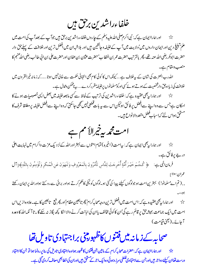خلفاءراشدين برحق بين

اور ہماراایمان ہے کہ: نبی اکرم صلی اللہ علیہ دسلم کے حاروں خلفاءراشدین برحق ہیں جوآپ کے بعدآپ کی امت میں  $\overrightarrow{\lambda}$ علم تبلیغ دین اورایمان داروں میں'ولایت میں آپ کےخلیفہ وجانشین ہیں اور بلاشبہان میں افضل ترین اورخلافت کے پہلےحق دار حضرت ابوبكر رضي الله عنه يتھے، پھر بالتر تيب حضرت عمر بن الخطاب'حضرت عثان بن عفان اورحضرت على بن اني طالب رضي الله عنهم كا منصب ومقام ہے۔

اللہ رب العزت کی شان کے بیہ خلاف ہے …کیونکہ اس کا کوئی کام بھی انتہائی حکمت سے خالی نہیں ہوتا ……کہ زمانہ خیرالقرون میں خلافت کی زیادہ حق دارشخصیت کے ہوتے ہوئے سی اورکومسلمانوں پرخلیفہ مقررکر دے.... بیہ ناممکن ومحال ہے۔

امکان ہےجس سے وہ اپنے سے افضل پر فائق ہولیکن اس سے یہ بات قطعی نہیں شجمی جاسکتی کہ وہ اپنے سے افضل خلیفہ پر مطلقا شرف کا مستحق ہواس لئے کہاسباب فضل متعددالانواع ہیں۔

امت محمه بيرتيرالأ مم ہے

اور ہمارا بہ بھی ایمان ہے کہ : بیرامت (اخیرہ) تمام امتوں سے بہتر اوراللّٰہ کےنز دیک عزت واکرام میں نہایت اعلٰی  $\frac{1}{2}$ در جے پرفائق ہے۔ ﴿ كُنتُمْ خَيْرَ أُمَّةٍ أُخْرِجَتُ لِلنَّاسِ تَأْمُرُونَ بِالْمَعُرُوفِ وَتَنْهَوُنَ عَنِ الْمُنكَرِ وَتُؤْمِنُونَ بِاللّهِ﴾[آل فرمان الہی ہے: عمران:•اا]

, , ( تم اےمسلمانو! ) بہترین امت ہو جولوگوں کیلئے پیدا کی گئی ہو۔لوگوں کو نیکی کاحکم کرتے ہواور رنگتے ہواوراللہ پرایمان رکھتے

اور ہمارا ریھی عقیدہ ہے کہ:اس امت میں افضل ترین درجہ صحابہ کرام' پھرتا بعین عظام'اور پھر تبع یتا بعین کا ہے۔علاوہ ازیں اس  $\boldsymbol{\lambda}$ امت میں ایک جماعت ہمیشہ حق پر قائم رہے گی'ان کا کوئی مخالف یاان کی اہانت کرنے والا انکا کچھ بگاڑ نہ سکے گا۔تا آ نکہ الله کا وعدہ آجائے۔(کیجی قیامت)

صحابه كےزمانہ میں فتنوں كاظہور پخی براجتہادى تاويل تفا

ے۔<br>پڑے اور ہماراایمان ہے کہ:حضرات صحابہ کرام کے مابین جن فتنوں کاظہور ہوا وہ اجتہادی تاویل کی بنا پر رونما ہوا تو جن کا اجتہاد درست تھاان کیلئے دواجر ہیںاور جن <sub>سے</sub>اجتہادی غلطی سرز دہوئی وہ ایک اجر کے مشقق ہیںاوران کی خطابھی معاف کر دی گئی ہے۔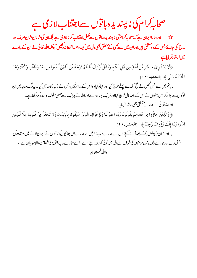صحابہ کرام کی ناپسندیدہ باتوں سےاجتناب لازمی ہے

ے۔<br>\*\* اورہاراایمان ہے کہ بیحابہ کرام ؓ کی ناپسندیدہ ہاتوں سے کمل اجتناب کرنالازمی ہے بلکہان کی شاپان شان صرف وہ مدح کی جائے جس کے وہ مشقیٰ ہیںاوران میں سے سی کے متعلق بھی دل میں کینہ وحسد قطعانہ رکھیں کیونکہ ال<mark>تد تعالیٰ نے ان کے بارے</mark> میں ارشادفر مایاہے:

﴿لاَ يَسُتَوِيُ مِـنكُم مَّنُ أَنفَقَ مِن قَبُلِ الْفَتُحِ وَقَاتَلَ أُوْلَئِكَ أَعَظَمُ دَرَجَةً مِّنَ الَّذِيْنَ أَنفَقُوا مِن بَعْدُ وَقَاتَلُوا وَكُلًّا وَعَدَ اللَّهُ الْحُسُنَى ﴾ [الحديد: • ا]

,, تم میں سے جس شخص نے فتح مکہ سے پہلےخرچ کیااور جہاد کیاوہ اس کے برابرنہیں جس نے (پہ )بعد میں کیا۔ بیلوگ درجہ میں ان لوگوں سے بڑھ کر ہیں جنہوں نے اس کے بعد مال خرچ کیااورشر یک جہاد ہوئےاوراللہ نے ہرایک سےحسن سلوک کا دعدہ کررکھا ہے۔ اوراللہ تعالیٰ نے ہمارے متعلق بھی ارشادفر مایا:

﴿ وَالَّذِينَ جَاؤُوا مِن بَعُدِهِمُ يَقُولُونَ رَبَّنَا اغُفِرُ لَنَا وَلِإِحْوَانِنَا الَّذِيْنَ سَبَقُونَا بِالْإِيْمَانِ وَلَا تَحْعَلُ فِي قُلُوبِنَا غِلَّا لِّلَّذِيْنَ آمَنُوا رَبَّنَا إِنَّكَ رَؤُوفٌ رَّحِيَمٌ ﴾ [الحشر: • ا]

, , اور جوان ( پہلوں ) کے بعدآ ئے کہتے ہیںا ہے ہمارے رب! ہمیں اور ہمارےان بھائیوں کوجنہوں نے ایمان لا نے میں سبقت کی بخش دےاور ہمارےدلوں میں مومنوں کی طرف سےدل میں کوئی کیپنہ نیرر ہنے دے۔اے ہمارےرب! تو بڑی شفقت والامہر بان ہے،،۔ واللدالمستعان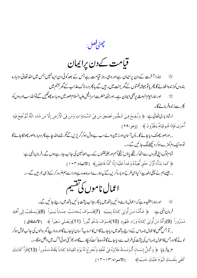جھڻ<mark> فص</mark>ل:

قیامت کےدن پراپمان

ہمارا آخرت کے دن پراپمان ہےاور وہی روز قیامت ہےجس کے بعد کوئی دن ایپانہیں جس میں اللہ تعالیٰ دوبارہ - 文 بندوں کوزندہ اٹھائے گا پھر یاتوہمیشہ نعمتوں کے گھر جنت میں رہیں گے یا پھر دردناک عذاب کے گھر جہنم میں

اور ہمارایوم البعث بربھی ایمان ہے۔اور جبکہ حضرت اسرافیل علیہ السلام صور میں دوبارہ پھوٹکیں گےتو اللہ سب مر دوں کو  $\sum_{\lambda}$ چرسےزندہفرمالےگا۔

ارِثادباركِ تعالىٰ ہے: ﴿ وَنُفِخَ فِيُ الصُّورِ فَصَعِقَ مَن فِيُ السَّمَاوَاتِ وَمَن فِيُ الْأَرُضِ إِلَّا مَن شَاء اللَّهُ ثُمَّ نُفِخَ فِيُهِ أُمْرَى فَإِذَا هُم قِيَامٌ يَنظُرُونَ ﴾ [زمر:٢٨]

, , اورصور پھونک دیاجائے گا۔ پس آ سان اورز مین والےسب بے ہوش ہوکرگریڑیں گے گر جسےاللہ جا ہے پھر دوبار ہصور پھونكاجائے گا تووہا یک دم کھڑے ہوکر دیکھنےلگ جائیں گے،،۔

تمام لوگ اپنی قبروں سے اٹھ کر ننگے یا دَن ننگے جسم اور بغیرختنوں کے رب العالمین کی جانب جار ہے ہوں گے۔فرمان الہی ہے: ﴿ كَمَا بَدَأْنَا أَوَّلَ خَلُقٍ نُّعِيدُهُ وَعُداً عَلَيُنَا إِنَّا كُنَّا فَاعِلِيُنِ﴾ [الانبياء: ٢٠٢]

, , جیسے ہم نے پہلی دفعہ پیدا کیااسی طرح دوبارہ کریں گئے بیہ ہارے ذمہ دعدہ ہےاورا سے ہم ضرورکر کے( ہی )ر میں گے،،۔



اور ہماراعقیدہ ہے کہ:اعمال نامےدا ئیں ہاتھ میں یا پھر بجانب پشت ہائیں ہاتھ میں دیئے جائیں گے۔  $\approx$ فرمانِالِهِي ہِ: ﴿ فَأَمَّـا مَـنُ أُوتِيَ كِتَابَهُ بِيَمِينِهِ ۚ (7)فَسَـوُفَ يُـحَاسَبُ حِسَاباً يَسِيُراً ۚ (8)وَيَـنـقَلِبُ إِلَى أَهْلِهِ

مَسُرُوراً (9)وَأَمَّا مَنُ أُوتِيَ كِتَابَهُ وَرَاء ظَهُرِهِ (10)فَسَوُفَ يَدُعُو ثُبُوراً (11)وَيَصُلَى سَعِيراً ﴾ [الانشقاق] , , تۈجس شخص کااعمال نامەاس کے داپنے ہاتھ میں دیاجائے گااس کا حساب آ سان لیاجائے گااوروہ اپنے گھر والوں کی جانب خوش ہوکر لوٹے گااورجس کااعمال نامہاس کی پشت کی طرف سے دیاجائے گا تو وہ ہلا کت کو پکارے گااور بھڑ کتی ہوئی آگ میں داخل ہوگا،،۔ مِ بِيثِرِمايا: ﴿ وَكُلَّ إِنسَـانِ أَلْـزَمُـنَـاهُ طَآئِرَهُ فِي عُنُقِهِ وَنُخْرِجُ لَهُ يَوُمَ الُقِيَامَةِ كِتَاباً يَلْقَاهُ مَنشُوراً (13)اقَرَأُ كَتَابَكَ كَفَى بِنَفْسِكَ الْيَوُمَ عَلَيْكَ حَسِيُبا﴾ [[لاسراء:١٣-١٣]]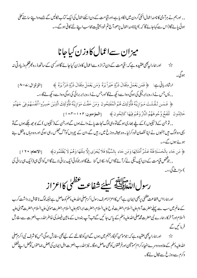, , اورہم نے ہرآ دمی کا نامئداعمال اسکی گردن میں لٹکا دیا ہے،اور قیامت کے دن اسکےاعمال کی ایک کتاب نکالیں گے جسے وہ اپنے سامنے کھلی ہوئی پائےگا(اس سےکہاجائےگا کہ )اپنانامئہ اعمال پڑھو،آج تم خود بحیثیت محاسب اپنے لئے کافی ہوگے،،۔

ميزان سےاعمال كاوزن كياجانا

اور ہمارا یہ بھی عقیدہ ہے کہ: قیامت کے دن تراز و سےاعمال کا وزن کیا جائے گااور کسی کے ساتھ ذ رہ کجرظلم وزیادتی نہ  $\stackrel{\sim}{\approx}$ بيدگي

ارِثادِربانِي ہے: ﴿ فَمَن يَعْمَلُ مِثْقَالَ ذَرَّةٍ خَيْراً يَرَهُ وَمَن يَعْمَلُ مِثْقَالَ ذَرَّةٍ شَرّاً يَرَهُ ﴾ [الزلزال: 4-٨] , , پس جس نے ذ رہ برابر نیکی کی ہوگی وہ اسے دیکھ لےگا'اورجس نے ذ رہ برابر برائی کی ہوگی وہ اسے دیکھ لےگا،،۔

﴿ فَمَسْ تَقُلَتُ مَوَازِيَنُهُ فَأُولَئِكَ هُمُ الْمُفْلِحُونَ وَمَنُ خَفَّتُ مَوَازِيَنُهُ فَأُولَئِكَ الَّذِيْنَ خَسِرُوا أَنفُسَهُمْ فِي جَهَنَمَ خَالِدُونَ ۚ تَلْفَحُ وُجُوهَهُمُ النَّارُ وَهُمْ فِيهَا كَالِحُونَ ﴾ [المؤمنون:٢٠٢-١٠٣]

, , توجن کے(نیکیوں )کے پلے بھاری ہوگئےنو وہی لوگ نجات پانے والے ہوں گےاورجن کے(نیکیوں )کے بوجھ ملکے ہوں گےنو یہی وہ لوگ ہیں جنہوں نے اپنا نقصان خود کرلیا۔وہ ہمیشہ دوزخ میں رہیں گے،ان کے چہروں کوآ گ جلس رہی ہوگی اور وہ وہاں بدشکل ہنے ہوئے ہوں گے،،۔

﴿ مَن جَاءِ بِالۡحَسَنَةِ فَلَهُ عَشُرُ أَمۡتَالِهَا وَمَن جَاء بِالسَّيِّئَةِ فَلَا يُحۡرَى إِلَّا مِثۡلَهَا وَهُمۡ لَا يُظۡلَمُونَ﴾ [الانعام: ١٩٠] , , جوْخص قیامت کے دن ایک نیکی لےکرآ بۓ گااس کواسکادس گنا یے گااور جوکوئی ایک برائی لائے گااس کواتنی ہی (ایک ہی برائی کی )سزاملے گی،،۔

رسول الدّه الله سلّيه شفاعت عظم كااعزاز

اور ہمارااس شفاعت عظمٰی پربھی ایمان ہےجس کااعزازصرف رسول اکرمصلی اللہ علیہ دسلم کوحاصل ہےجبکہ لوگ نا قابل برداشت کرب کے عالم میں سب سے پہلےحضرت آ دم علیہ السلام،حضرت نوح علیہ السلام،حضرت ابراہیم علیہ السلام،حضرت موّیٰ علیہ السلام،حضرت عیسیٰ علیہ السلام۱ورآ خرکار ہمارے نبی حضرت محم<sup>صل</sup>ی اللہ علیہ دسلم کے پاس جا <sup>نہ</sup>یں گے تب آپ بندوں کے مابین فیصلہ کی خاطراللہ رب العزت سے سفارش فرمائیں گے

اور ہمارا یہ بھی عقیدہ ہے کہ: جومومن گنہگارجہنم میں ہوں گےان کونکالنے کے لیے بھی سفارش ہوگی جس کا شرف نبی اکرمصلی ☆ الله عليه دسلم كےعلاوہ دوسرےانبياءكرام'مومنين اورفرشتوں كوچھى حاصل ہوگا۔ نيز الله رب العزت اہل ایمان كى بعض جماعتوں كوحض اپنےفضل وکرم سےدوزخ سےنکال لےگا۔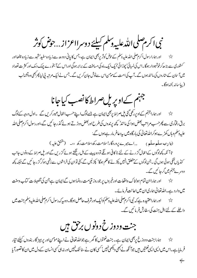نبى اكرم صلى الله عليه وسلم كبيليّة دوسرااعزاز . . حوض كوثر

اور ہمارا رسول اکر مصلی اللہ علیہ دسلم کےحوض کوثر پربھی ایمان ہے ،جس کا پانی دودھ سے زیادہ سفیدُ شہد سے زیادہ میٹھااور  $\vec{\lambda}$ ۔<br>ستوری سے بڑھ کرخوشبودار ہوگا۔اس کی لمبائی' چوڑائی'ایک ایک ماہ کی مسافت کے برابر ہوگی اوراس کےآ بخورے چیک دمک اور کثر ت تعداد میںآ سان کےستاروں کی مانندہوں گے۔آپ کی امت کےموس اس سےنوش جان کریں گے۔جس نے ایک مرتبہ پی لیا پھر بھی وہ تشنہ لب (پياسانه) نه بوگا۔

جہنم کےاوپر بل صراط کانصب کیاجانا

پڑ ہے۔ اور ہماراجہنم کےاوپر *دگلی گئی پل صر*اط پر بھی ایمان ہے جسے لوگ اپنے حسب اعمال عبور کریں گے۔ اول درجہ کےلوگ برق رفماری سے پھرحسب مراتب بعض ہوا کی ماننڈ کچھ پرندوں کی طرح اوربعض دوڑتے ہوئے گذر جائیں گے،اوررسول اکر مصلی الله علیہ دسلم وہاں کھڑے ہوکرالٹدنغالیٰ کی بارگاہ میں بیردعافر مار ہےہوں گے:

تا آنکہ پچھاوگوں کےاعمال گزرنے کے لئے ناکافی ہوتگے تو وہ پیٹ کے ہل رینگتے ہوئے گزریں گےاور مل صراط کے دونوں جانب کنڈیاں لٹکی ہوئی ہوں گی ۔جن لوگوں کے متعلق انہیں پکڑنے کاحکم ہوگا' کپڑلیں گے،کئی تو ان کی خراشوں سے زخمی ہوکرگز رجائنیں گے جبکہ پچھ دوسرے جہنم میں گرجا ئیں گے۔

ح بار میں اور ہماراان تمام ہولناک واقعات اورخبر وں پر جو روز قیامت رونما ہوں گے ایمان ہے جن کی تفصیلات کتاب وسنت میں وارد ہے۔اللہ تعالیٰ ہماری ان میں اعانت فرمائے۔

ح به اور ہماراعقیدہ ہے کہ نبی اکرم<sup>صل</sup>ی اللہ علیہ دسلم کوایک اورشرف حاصل ہوگا۔وہ بیرکہ رسول اکرم<sup>صل</sup>ی اللہ علیہ دسلم جنت میں دا خلے کے لئے اہل جنت کی سفارش فر مائیں گے۔

جنت ودوزخ دونوں برحق ہیں

ہماراجنت ودوزخ پربھی ایمان ہے۔جنت نعمتوں کا گھرہے جواللہ تعالیٰ نے اپنے مو<sup>م</sup>ن اور پر ہیز گار بندوں کیلئے تیار  $\vec{\lambda}$ فر مایا ہے۔اس میں ایسی ایسی نعمتیں ہیں جوآ نکھ نے بھی دیکھی نہیں 'کسی کان نے سنا تک نہیں اور نہ ہی کسی انسان کے دل میں ان کا تصورآ پا

 $\leftarrow$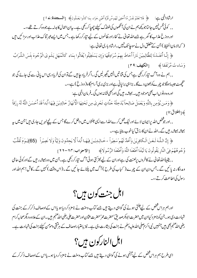ارِثْادالٰہٰی ہے: ﴿ فَلَا تَعُلَمُ نَفُسٌ مَّا أُحُفِيَ لَهُم مِّن قُرَّةِ أَعْيُنٍ جَزَاء بِمَا كَانُوا يَعُمَلُونَ﴾ [ا**لسجدة:**1 ]

,, کوئی نفس نہیں جانتا جو کچھ ہم نےان کی آٹھوں کی ٹھنڈک کیلئے چھپا کررگھی ہے۔ بیاناعمال کا بدلہ ہے جووہ کرتے تھے،،۔ اور دوزخ عذاب کا گھرہے جسےاللہ تعالیٰ نے کفاراور ظالموں کے لیے تیارکررکھا ہے۔جس میں ایسےعبرتناک عذاب اور سزائنیں ہیں ( كەلامان الحفظ) جن سے متعلق دل نے سوچاتك نہيں۔ارشاد بارى تعالىٰ ہے:

﴿ إِنَّا أَعۡتَـٰدُنَا لِلظَّالِمِيۡنَ نَاراً أَحَاطَ بِهِمۡ سُرَادِقُهَا وَإِن يَسۡتَغِيۡثُوا يُغَاثُوا بِمَاء كَالۡمُهَلِ يَشُوِىُ الۡوُجُوهَ بِئِسَ الشَّرَابُ وَسَاءِتُ مُرَتَفَقا﴾ [الكهف:٢٩]

, , ہم نے وہ آگ تیارکررکھی ہےجس کی قناتیں انہیں گھیرلیں گی ۔اگرفر یاد حابی ہے تو ان کی فریاد ر<sub>س</sub>ی اس پانی سے کی جائے گی جو میں جے جیسا ہوگا جو چہرےکو بھون دےگا۔ بڑا ہی برایانی ہےاور بڑی بری آرام گاہ( دوزخ) ہے،،۔ اوروہ دونوںاب بھیموجود ہیں۔ہمیشہ رہیں گیااوربھی فنانہ ہوں گی۔فرمان الہی ہے:

﴿وَمَـن يُؤْمِن بِاللَّهِ وَيَعْمَلُ صَالِحاً يُدْخِلُهُ جَنَّاتٍ تَجْرِي مِن تَحْتِهَا الْأَنْهَارُ خَالِدِيْنَ فِيُهَا أَبَداً قَدُ أَحْسَنَ اللَّهُ لَهُ رِزُقاً ﴾[الطلاق: 11]

, , اور جو شخص اللہ پرایمان لا ئے اور نیک عمل کرےاللہ اسےالی<sub>ک</sub> جنتوں میں داخل کرے گا جس کے پنچےنہریں جاری ہیں بین میں ہی<sub>ہ</sub> ہمیشہ ہمیشہ رہیں گے۔اللہ نےان کارزق کیاخوب بنایا ہے،،۔

﴿ إِنَّ اللَّهَ لَعَنَ الْكَافِرِيْنَ وَأَعَدَّلَهُمُ سَعِيراً ، خَالِدِينَ فِيهَا أَبَداً لَّا يَجِدُونَ وَلِيّاً وَلَا نَصِيراً (65)يَـوُمَ تُقَلَّبُ وُجُوهُهُمْ فِيُ النَّارِ يَقُولُونَ يَا لَيُتَنَا أَطَعُنَا اللَّهَ وَأَطَعُنَا الرَّسُولَا﴾ [[الاحزاب:٢٣-٢٩]

, , یقیناًالٹدتعالٰی نے کافروں پرلعنت کی ہےاوران کے لیے *بھڑ* کتی ہوئی آگ تیارکررکھی ہے۔جن میں وہ ہمیشہ رہیں گےاورکوئی حامی ومددگار نہ پائیں گے ۔جس دن ان کے چہرے ( کہاب کی طرح ) آگ میں پلٹائے جائیں گے ۔(اس وقت )کہیں گے ۔کاش! ہم اللہ اور رسول کی اطاعت کرتے ،،۔

اہل جنت کون میں؟

اورہم ہراس شخص کے لیے جنتی ہونے کی گواہی دیتے ہیں جسے کتاب وسنت نے نامزدکر دیا ہو یااس کےاوصاف ذکرکرکے جنت کی شہادت دی ہو۔جن کونامز دکیاان میں حضرت ابوبکرصدیق'حضرت عمرُ حضرت عثان اورحضرت علی رضی اللہ عنہم ہیں ۔ان کےعلاوہ دیگرصحابہ کرام رضی اللّٰه عنہم بھی ہیں جنہیں نبی اکرم صلی اللّٰہ علیہ دسلم نے جنت کی بشارت دی ہے۔ نیز باعتیاراوصاف کے ہر مقی ومومن کیلئے جنت کی شہادت ہے۔

اہل النارکون میں؟

اسی طرح ہم ہراس شخص کے لیے جہنمی ہونے کی گواہی دیتے ہیں جسے کتاب وسنت نے نامز دکر دیا ہو۔یااس کےاوصاف ذکر کر کے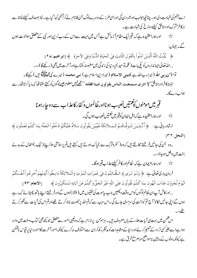اسے جہنم کی شہادت دی ہو۔چنانچہابولہباورعمرو بن کحی اوراسی طرز کے دوسرےلوگ جن کا نام لے کرجہنمی کہا گیا ہے۔ نیز اوصاف کیلئے لحاظ سے ہرکافرمشرک اورمنافق کیلئے دوزخ کی شہادت ہے۔ اورہماراعقیدہ ہے کہ:قبرایک مقام آ زمائش ہےجس میں میت سےاس کےرب ٗدین اور نبی کے متعلق سوالات ہوں  $x^2$ گے۔ جہاں: ﴿ يُثِّبُّتُ اللَّهُ الَّذِيْنَ آمَنُواُ بِالْقَوَلِ الثَّابِتِ فِي الْحَيَاةِ الدُّنْيَا وَفِي الآخِرَةِ ﴾ [ابراهيم:٢٤] , , الله تعالىٰ ايمانداروں کو پکی بات ( کلمہ تو حید ) پر دنیا کی زندگی میں مضبوط رکھتا ہےاورآ خرت میں بھی ( رکھےگا )،،۔ تومو من دبی اللہ (میرارباللہ ہے )دینی الامدلام (میرادین اسلام ہے ) نبی محمد (میرے نبی مطلقہ میں ) کہےگا۔ البيته كافراور منافق''لا ادرى مسمعت المناس يقولون شيئا فقلته ''مجھنہيں معلوم جيسےلوگوں کو کہتے سنتاتھا کہہ دیا کرتاتھا۔ سے جواب دےگا۔

ارِثارِ رِبِلْ جِ: ﴿ أَلَّـٰذِينَ تَتَوَفَّـٰهُمُ الْـمَـلاَئِكَةُ طَيِّبِيْنَ يَقُولُونَ سَلامٌ عَلَيْكُمُ ادْخُلُواْ الْجَنَّةَ بِمَا كُنتُمْ تَعُمَلُون ﴾  $\Gamma^{\mu}$ ٢: النحل

,وہ جن کی جانیں فرشتے نکالتے ہیں کہ وہ ( کفروشرک سے ) پاک ہوتے ہیں کہتے ہیںتم پرسلامتی ہواپنے (نیک )اعمال کے بدلے جنت میں داخل ہوجاؤ،،۔

ح<sup>ید</sup> اور ہماراایمان ہے کہ: ظالم اور کافر کیلئے عذاب **قب**رہوگا۔

فرمان بارى تعالى ج: ﴿ وَلَـو تَـرَى إِذِ الظَّـالِمُونَ فِي غَمَرَاتِ الْمَوُتِ وَالْمَلاَئِكَةُ بَاسِطُواْ أَيْدِيهِمْ أَخْرِجُواْ أَنفُسَكُمُ

الْيَوُمَ تُحْزَوُنَ عَذَابَ الْهُون بِمَا كُنتُم تَقُولُونَ عَلَى اللَّهِ غَيْرَ الْحَقِّ وَكُنتُمْ عَنُ آيَاتِهِ تَسُتَكْبِرُون ﴾ [الانعام:٩٣] , , اورکاش آپ ان ظالم لوگوں کواس وقت دیکھیں جب بیموت کی تختیوں میں ( مبتلا ) ہوں گےاورفر شتے اپنے ہاتھ پھیلا ئے کہہ رہے ہوں گےاپنی جانیں نکالوٗ آج تم کو ذلت کی سزا دی جائے گی ۔اس سبب سے کہتم اللہ پر جھوٹ بولاکر تے تھےاورتم اس کی آیات سے تکبرکر تے  $\mathfrak{c}$ 

اس شمن میں بہت <sub>تک</sub>آیات عل<sub>ا</sub>ء کے ہاںمعروف ہیں۔ ہرمو<sup>من</sup> پرلازم ہے کہ وہ غیبی امور سے متعلق جو کچھ بھی کتاب وسنت میں وارد ہوا ہےاسے بغیرکسی تر دد کےتنگیم کر لےاور دنیا کے مثامدات کو مدنظر رکھ کران سےاختلاف نہ کرے کیونکہ امور آخرت کاامور دنیا پر قیاس ناممکن ہے کیونکہ دونوں کے مابین بڑاواضح اورصر بیح فرق ہے۔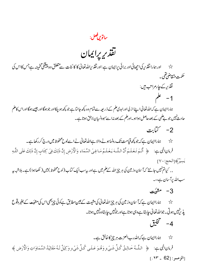ساتوين فصل:<br>ساتوين فصل:

تقذير يرايمان

ح سیاور ہمارا تقدیر کی اچھائی اور برائی پرایمان ہے :اورتقدیرِاللّہ تعالٰی کا کا ئنات سے متعلق وہ پیشگی تخمینہ ہے جس کااس کی حكمت متقاضي تقيء تقذير كے چارمراتب ہيں:  $\sim$  4  $-1$ ہماراایمان ہے کہ اللہ تعالٰی اپنے از لی اورابدی علم کے ذ ریعہ سے تمام وہ کچھ جانتا ہے جو کچھ ہو چکااور جوہوگا اور جیسے ہوگا اوراس کاعلم حادثے نہیں جو بے علمی کے بعد حاصل ہوا ہو۔اورعلم کے بعد نہاسے سہوونسیان لاحق ہوتا ہے۔ 2- ڭئابت ے۔<br>\*\* ہماراایمان ہے کہ جو پچھ قیامت تک رونماہونے والا ہےاللہ تعالٰی نے اسےلوح محفوظ میں درج کررکھا ہے۔ فرمان اللي ہے: ﴿ أَلَـٰم تَعُلَـٰم أَنَّ اللَّــهَ يَعُلَـٰمُ مَـا فِـىٰ السَّمَاء وَالْأَرُضِ إِنَّ ذَلِكَ فِىٰ كِتَابٍ إِنَّ ذَلِكَ عَلَى اللَّهِ يَسِيُرْ﴾[الحج: ٧٠] , , کیاتم نہیں جانتے کہآ سان وزمین کی ہر چیز اللہ کے کم میں ہےاور بہ سب ایک کماب (لوح محفوظ) میں ( لکھاہوا) ہے۔ ہلاشبہ بہر سب الله برآسان ہے،،۔

 $\frac{1}{2}$ مشبُت

حک<sup>ہ</sup> میں ادا پمان ہے کہ آسان وزمین کی ہر چیز اللہ تعالیٰ کی مشیت کے عین مطابق ہےکوئی چیز بھی اس کی مشئیت کے بغیر وقوع پذیرنیبیں ہوتی۔جواللہ تعالیٰ جا ہتا ہےوہی ہوتا ہےاور جونہیں جا ہتاوہ نہیں ہوتا۔ 4- تخليق

ح برجز کا خا*لا ایمان ہے کہ اللہ دب العز*ت ہر چیز کا خالق ہے۔ فرمانِ اللَّهِي ہِ: ﴿ اللَّهُ حَبِالِقُ كُلِّ شَيۡءٍ وَهُوَ عَـلَى كُلِّ شَيۡءٍ وَكِيُلْ لَهُ مَقَالِيُهُ السَّمَاوَاتِ وَالْأَرۡضِ ﴾  $[.91 - 62]$ : الزمير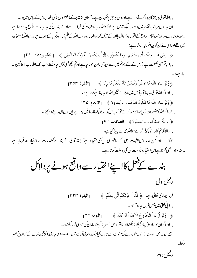, , الله تعالیٰ ہر چیز کا پیدا کرنے والا ہے،اوروہی ہر چیز برنگہبان ہے۔آ سان وزیلن کے(خزانوں ) کی بخچاںاس کے پاس ہیں،،۔ ان جاروں مراتب تقذیر میں وہ سب کچھ شامل ہے جوخوداللہ رب العزت کی طرف سے اور جو بندوں کی جانب سے وقوع پذیر ہوتا ہے ۔سو بندوں سےصادرشدہ تمام انواع کےاقوال دافعال پاان کےترک کردہ افعال وہ سب اللہ کے علم میں او*نٹح ریے ہیں۔جو*اللہ کی مشئیت میں تھےاوراسی نےان کو پیدافر مایا:ارشاد ہے: ﴿ لِمَن شَاءِ مِنكُمُ أَن يَسُتَقِيُمَ ۖ وَمَا تَشَاؤُونَ إِلَّا أَن يَشَاءَ اللَّهُ رَبُّ الْعَالَمِيْنَ ﴾ [التكوير:٢٨-٢٩] , (پیقر آن نصیحت ہے )اس کے لئے جوتم میں سے سیدھی راہ پر چلنا چاہےاورتم کچھ بھی نہیں جاہ سکتے جب تک اللہ رب العالمين نہ جاہے،،۔ ﴿ وَلَوۡ شَاءِ اللَّهُ مَا اقۡتَتَلُواۡ وَلَكِنَّ اللَّهَ يَفۡعَلُ مَا يُرِيَد ﴾ [البقرة: ٥٣] , , اورا گرالٹدنغالی ح<u>اب</u>تا توپی<sub>ا</sub> پس میں نہ *ٹر تے لیکن* اللہ جوجا ہتا ہے کرتا ہے،،۔ ﴿ وَلَوۡ شَاءِ اللَّهُ مَا فَعَلُوهُ فَذَرَٰهُمۡ وَمَا يَفۡتَرُونَ ﴾ [الانعام :٢٣٤] , , اوراگرالٹدکو منظور ہوتا تو بیالیہا کام نہ کرتے تو آپان کواور جو پچھ غلط با تیں بنار ہے ہیں یوں ہی رہنے دیجئے ،،۔ ﴿ وَاللَّهُ خَلَقَكُمْ وَمَا تَعَمَلُونَ﴾ [الصافات: ٩٦] , , حالانکہ تم کواور جو کچھتم کرتے ہواللہ ہی نے پیدا کیا ہے،،۔ ۔ بندہ جو بھی کرتا ہےاس اختیار وقدرت ہی کی بدولت کرتا ہے۔ بندے کےفل کا پنےاختیار سے داقع ہونے پر دلائل دلیل اول فرمان بارى تعالى ہے: ﴿ فَأَتُواْ حَرْنَكُمُ أَنَّى شِئْتُمْ ﴾ [البقرة:٢٢٣] ,,این کھیتی میں جس طرح حاہوآ ؤ،،۔

﴿ وَلَوۡ أَرَادُواۡ الۡخُرُو جَ لَأَعَلُّواۡ لَهُ عُدَّةً ﴾ [التوبة: ٣٦] , , اوراگران کااراد ہ ( جہاد کیلئے ) نکلنے کا ہوتا تو وہ اس (سفر ) کیلئے سامان کی تیاری کرر کھتے ،،۔

بہلی آیت میں اقیان ( آمد ) کو بندے کی مشیت سے ثابت کیا جبکہ دوسر کی آیت میں اعسداد ( تیاری ) کو بھی بندے کےارادہ پرمنحصر

دلیل دوم

ركھا۔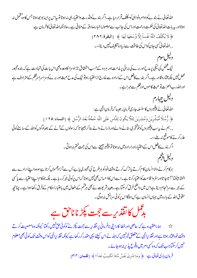الله تعالیٰ نے بندےکوادام دنواہی کومکلّف قرار دیاہے۔اگر بندےکوفڈرت داختیارہی نہ ہوتا توبیاس پرایبابوجھ ہوتاجس کاوہ تخمل نہ ہوتااور بیہ بات اللہ تعالٰیٰ کی حکمت ورحمت اوراس کی جانب سے موصولہاخبارصادقہ کے منافی ہے۔حالانکہ اللہ تعالٰی کافر مان ہے: ﴿ لَا يُكَلِّفُ اللَّهُ نَفُساً إِلَّا وُسُعَهَا لَهَا ﴾ [البقرة: ٢٨٢] , , الله تعالى كسي جان كواس كي طاقت سے زياد ه تكليف نہيں ديتا،،۔ دیبل سوم نیک شخص کی نیکی پر مدح اور برے کی برائی پر مذمت اور ہر دو کے حسب استحقاق جزاوسزا کاوعد ہجی اس بات کی شہادت ہے کہ بند ہ مجبور محض نہیں بلکہ مخاروقادر ہے۔اگر بندےکافعل اس کےارادہ سے خارج ازاختیار ہوتو نیک کی مدح عبث اور برےکوسزا سراسرظلم کے مترادف ہے اورالله رب العزت توعبث كاموں اورظلم سےمبراہے۔ دليل چهارم اللہ تعالیٰ نے پیغیمروں کا سلسلہ جاری فرمایا۔جیپیا کہ فرمان الٰہی ہے: ﴿ رُّسُلًا مُّبَشِّرِيْنَ وَمُنذِرِيْنَ لِئَلَّا يَكُونَ لِلنَّاسِ عَلَى اللَّهِ حُجَّةٌ بَعُدَ الرُّسُلِ ﴾ [النساء:١٢٥] , , ہم نے بیسب پیغیمروں کوخوشخبری سنانے والےاور ڈ رانے والے بنا کر بھیجا تا کہ رسولوں کے آنے کے بعدلوگوں کواللہ کے سامنےکوئی عذرکرنے کاموقع نہ ملے،،۔ اگر بندے کافعل اس کےاختیاراورارادہ میں نہ ہوتا تو پیغیبر بھیجنے سےاس کی حجت ختم نہ ہوتی ۔ دليل پنجم ہرکام کرنے والا انسان کام کرتے پاترک کرتے وقت خودکو ہرطرح کی مجبوری پاپ<sup>ر ب</sup>س سےآ زادمحسوں کرتا ہےسووہ اپنے ارادے سے

اٹھتا بیٹھتا' آتاجا تااورسفروا قامت کواختیارکرتا ہے۔اسےاس کاحساس بھی نہیں ہوتا کہاس پرکوئی جرکرر ہاہے۔ بلکہ جوکام اپنےاختیار سے پاکسی کے جمر سے سرانجام دیتا ہےاس میں واضح فرق کرسکتا ہے۔بعینہ شریعت نے بھی ہرقتم کےافعال میں باعتباراحکام کےفرق رکھا ہوا ہے۔چنانچہ حقوق اللہ کے بارہ میں جہاں انسان بےبس ہوگااس برکوئی سرزنش نہ ہوگی۔

## بڈل کانقذیر سے ججت پکڑ ناناخ ہے

ح بھی میں اعقیدہ ہے کہ:عاصی اورخطا کارا پنی نافر مانی پرتقذیر سے ججت پکڑنے کوکوئی حق نہیں رکھتا کیونکہ وہ معصیت کرتے وقت خودمخار ہوتا ہےاور تقذیر الہی کے متعلق خبرنہیں کہ اللہ نے اس کیلئے یہی مقدر کر رکھا ہے کیونکہ تقذیرالہی کواس وقت تک کوئی بھی معلوم نہیں کرسکتا جب تک کہ وہ کسی امر میں وقوع پذیر نہ ہوجائے۔

فرمان بارى تعالى ہے: ﴿ وَمَا تَدُرِيُ نَفُسٌ مَّاذَا تَكْسِبُ غَداً ا﴾ [لقمان: ٣٣]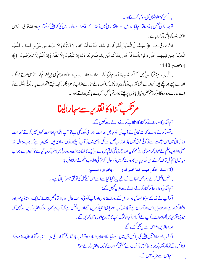,, کسی کومعلوم<sup>نہیں</sup> کل وہ کیا کرےگا،،۔

تو جب کوئی شخص بوقت اقدام ایک دلیل سے واقف ہی *نہ*یں تو عذر کے وقت اسے بطور دلیل کیونکر پیش کرسکتا ہےاور اللہ تعالیٰ نے اس ناحق دلیل کو باطل قرار دیا ہے۔

ارِثادِربانِي ہے: ﴿ سَيَقُولُ الَّذِيۡنَ أَشۡرَكُواۡ لَوۡ شَاءِ اللَّهُ مَا أَشۡرَكۡنَا وَلَا آبَاؤُنَا وَلَا حَرَّمۡنَا مِن شَيۡءٍ كَذَلِكَ كَذَّبَ الَّذِينَ مِن قَبَـلِهِـم حَتَّى ذَاقُواُ بَأْسَنَا قُلُ هَلُ عِندَكُم مِّنُ عِلْمٍ فَتُخْرِجُوهُ لَنَا إِن تَتَّبِعُونَ إِلَّا الظَّنَّ وَإِنْ أَنتُمْ إَلَّا تَخُرُصُونَ ﴾ [الانعام:148 ]

, , قریب ہےمشرک پی<sup>کہ</sup>یں گےاگراللہ جا ہتا تو نہ ہم شرک کرتے اور نہ ہمارے باپ دادا'اور نہ ہم<sup>کس</sup>ی چیزکوحرام کرتے'اسی طرح جولوگ ان سے پہلے ہوچکے ہیںانہوں نے بھی تکذیب کی تھی یہاں تک کہانہوں نے ہمارےعذاب کامزا چکھا۔ کہہ دیجئے !تمہارے پاس کوئي دلیل ہےتو اسے ہمارےروبروظاہرکر دُنم پھن خیالی باتوں پر چلتے ہواورتم بالکل اٹکل سے با تیں بناتے ہو،،۔

مرتكب گناه كانقذىر سےسہارالینا

ہم نقذیر کاسہارالےکر گناہ کار نکاب کرنے والے سے کہیں گے:

پیقسور کرتے ہوئے کہ اللہ تعالٰی نے آپ کی نقذیر میں اطاعت وبھلائی لکھ رکھی ہےتو آپ اقدام اطاعت کیوں نہیں کرتے'اطاعت ونافر مانی میں اس حیثیت سےتو کوئی فرق *نہیں* بلکہار <sub>ن</sub>کا بے فعل سےقبل لاعلمی میں تو آپ کیلئے دونوں مساوی میں ۔ یہی دجہ ہے کہ جب رسول اللہ صلی اللہ علیہ دسلم نے صحابہ کرام رضی اللہ عنہم کو پیاطلاع دی تھی کہ**تم می**ں سے ہرایک کا ٹھکانہ جنت وروزخ میں مقررکر دیا گیا ہےتوانہوں نے جواب دیا کہ کیا ہم *گمل ترک کر کے اسی نقڈ پرینی بھر وسہ بن*کرلیں تو رسول اکرم صلی اللہ علیہ دسلم نے ارشادفر مایا:

(لا اعملوا فكل ميسر لما خلق له ) (بخاري ومسلم)

, , نہیں اعمل کرتے رہوجس ٹھکانے کے لیے پیدا کیا گیا ہےاسےاس کے کمل کی توفیق میسرآ جاتی ہے،،۔ ہم نقذ پرکوعذر بنا کر گناہ کرنے والے سے مزیدکہیں گے:

اگرآپ نے مکہ کےسفر کا قصد کیا ہواوراس کے دوراستے ہوں اورآپ کوکوئی واقف حال اور بااعتما ژخص بتائے کہ ایک راستہ تو پرخطراور دشوارگز ار ہےاور دوسرا پرامن اورآ سان ہےتو بلاشبہآپ دوسراہی اختیارکریں گےاور بیرناممکن ہے کہ آپ برخطرراستہ کواختیارکریں اورکہیں کہ میری تقذیر میں کھاہوا ہے۔آپ نے اگراپیا کیا تولوگ آپ کا شارد پوانوں میں کریں گے۔ علاوہازیں ہم اس سے پہچی کہیں گے:

اگرآپ کودوملا <mark>زمتیں پی<sub>ش</sub> کی جائیں جن میں <sub>سے ا</sub>یک کامشاہرہ زیادہ ہوتو آپ بلاشک کم تنخواہ کی بجائے زیادہ تنخواہ والی ملا زمت کو</mark> اپنا ئىيں گےتو پھرتقڈ بركو بہانہ بنا كر<sup>عم</sup>ل آخرت سے متعلق *كم* اجرت كو كيوں اختیاركر تے ہو؟ ہم اس سے مزید کہیں گے: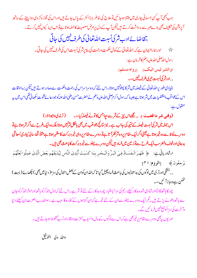جب بھی آپ کسی جسمانی بیاری میں مبتلا ہوجا ئیں توعلاج کی خاطر ہرڈاکٹر کے پاس جاتے ہیںاوراس کی مجوز ہ کڑ وی دواپینے کےساتھ آپریشن کی تکلیف بھی بڑے *مبرے برد*اشت کرتے ہیں کیکن آپ کے دل پر مرض معصیت کاحملہ ہوتا ہے تو تب ایسا کیوں نہیں کرتے۔

بتقاضا ئے ادب شرکی نسبت اللہ تعالیٰ کی طرف نہیں کی جاتی

ح ہے ۔<br>جیس اور ہماراایمان ہے کہ:اللہ تعالیٰ کے کمال حکمت ورحمت کی بنا پرشر کی نسبت اس کی طرف نہیں کی جاتی ۔ رسول الله صلى الله عليه سلم كافر مان ہے: (والشر ليس اليك) (رواه مسلم) ,,اورشر کی نسبت تیر کی طرف نہیں،،۔

بنیادی طور پرالڈرتعالیٰ کے فیصلہ میں شرکا پہلوٹہیں ہوتا۔اس لئے کہ وہ سراسراس کی رحمت وحکمت سےصادر ہوتے ہیں کیکن بسااوقات اس کے مواقب دمقتضیات میں شرہوتا ہے جیسا کہ رسول اکرم<sup>صلی</sup> اللہ علیہ دسلم نے حضرت حسن رضی اللہ عنہ کو جو دعا ئے قنو ت سکھائی تھی اس میں ہیہ منقول ہے:

(وقنی شر ما قضیت ). ,, <u>ج</u>ھاس چ<sub>ی</sub>ر کے شرسے بچاجس کاتونے فیصلہ کیا،،۔ (ترمذک<sup>ی واب</sup>وداؤد)

اس جملہ میں شرکی نسبت فیصلہ کے نتیجہ کی جانب ہے ۔ نیز متائج دعوا قب میں بھی بالکل شرنہیں ہوتا بلکہ وہ ایک طرح سےاگر شرہوتا ہےتو دوسرے لحاظ سے وہ خیرہوتا ہے یعنی اگرایک مقام پروہ شرنظرآ تا ہےتو دوسرے مقام پروہی خیر وبرکت کا مظہر ہوتا ہے مثلاً قحط سالیٰ بیاری'معاشی بدحالیااورخوف وخطرسب ایک طرح سےنوز مین میں فساد ہیں لیکن دوسرے پہلو سے خیر وبرکت کا باعث بھی ہیں۔

ارِثَادِرِبِانِي بِ: ﴿ ظَهَرَ الْفَسَادُ فِي الْبَرِّ وَالْبَحْرِ بِمَا كَسَبَتُ أَيُدِيُ النَّاسِ لِيُذِيُقَهُم بَعُضَ الَّذِي عَمِلُوا لَعَلَّهُمُ يَرْجَعُونَ ﴾ [الروم: ٣١]

, , خشکی اورتری میںلوگوں کی بداعمالیوں کی باعث فساد پھیل گیا تا کہ اللہ ان کوان کے بعض اعمال کی سزا( د نیامیں بھی ) چکھائے ( بہت ) ممکن ہےوہ بازآ ئىں،،۔

چورکا ہاتھ کا ٹمااورشادی شدہ بدکارکیلئے رجم کی سزا' باعتیار چورو بدکار کے لئے تو شر ہے۔اس لئے کہ اول الذكركو ہاتخھ اورموخرالذكركوجان سے ہاتھ دھونے پڑتے ہیں کے رایک دوسرے پہلو سےان کے لئے خمر ہے کہان گناہوں کے کفارہ کا سبب ہے۔سواللہ رب العزت ان کیلئے دنیا وآ خرت کی سز اکوجمع نہیںفر مائیں گے۔

اور یوں بیبھی دوسرے مقام پر خیربھی ہے کہ اس سےلوگوں کے مال واسبابٗ عزت و وقاراورنسب محفوظ ہوجاتے ہیں۔

والله ولى التوفيق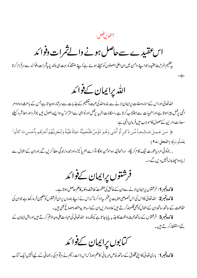آڻُويںفصل:

 $-\underleftarrow{\leftharpoonup}$ 

اس عقیدے سےحاصل ہونے والےثمرات دفوائد

ر عظیم المرتبت عقیدہ جواپنے دامن میں ان اعلیٰ اصولوں کوسیٹے ہوئے ہےٗاپنے معتقد کو بہت ہی بلند پاییثمرات دفوا <sub>کم</sub>رے سرفراز کرتا

الله يرايمان كےفوائد

الٹدنغالی اوراس کےاساءوصفات پرایمان لانے سے بندہ الٹدکی محبت وتعظیم کے جذبات سےسرشار ہوجا تا ہےجس کے باعث وہ اوامر الہی رجمل پیراہوتا ہےاورمنہ بیات سےاجتناب کرتا ہے۔احکامات الہیہ رجمل اورنواہی سےاحتراز' بیردوا یسےاصول ہیں جوفر داور معاشرہ کیلئے سعادت دارين کےحصول کاموجب ہيںفرمان الہی ہے:

﴿ مَنۡ عَـمِـلَ صَـالِـحـاً مِّـن ذَكَـرٍ أَوۡ أُنتَـى وَهُـوَ مُؤۡمِنٌ فَلَنُحۡيِنَّهُ حَيَاةً طَيِّبَةً وَلَنَجۡزِيَنَهُمۡ أَجۡرَهُم بِأَحۡسَنِ مَا كَانُواْ يَعْمَلُونَ﴾ [النحل:24]

,, جوکوئی مرد یاعورت نیک کام کریگا، درانحالیکه وه مومن ہوگا،تو اسے ہم یا کیز ہ اورعمدہ زندگی عطا کریں گے,اوران کےاعمال سے زیادہا جھابدلہانہیں دیں گے،،۔

فرشتوں پرایمان کےفوائد

فائ**دہ نمبر 1**: فرشتوں پرایمان لانے سےان کےخالق کی عظمت' طاقت وغلبہ کاعلم حاصل ہوتا ہے۔ فائدہ نمبر2: اللہ تعالٰی کااس کی اس خصوصی عنایت پرشکریہادا کرنا کہاس نے اپنے بندوں پرانفرشتوں کو متعین فرمارکھا ہے جوان کی حفاظت کےساتھ ساتھ ان کےاعمال کوبھی قلمبندکرتے ہیں'علاوہ ازیں ان کے ذیبہ مزید متعد دمصالح بھی ہیں۔

فائدہ نمبر3: فرشتوں کے ساتھ محبت والفت کا جذبہ پایاجا تاہے کیونکہ وہ اللہ تعالیٰ کی عبادت علی وجہ الاتم کرتے ہیں اوراہل ایمان کے <u>لئے</u> استغفارکرتے ہیں۔

کتابوں پراپمان کےفوائد

فائدہ **نمبر 1**: باری تعالیٰ کااپنی مخلوق کے ساتھ خاص مہربانی کاعلم ہونا کہاس ذات رحیم نے ہرقوم کی رہنمائی کے لیےانہیں ایک کتاب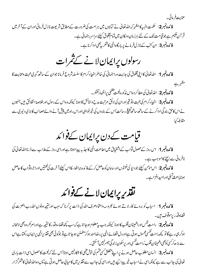فائدہ نمبر2: تحکمت الہیہ کا مظہر کہ اللہ تعالیٰ نے کتابوں میں ہرامت کی ضرورت کےمطابق شریعت نازل فرمائی اوران کےآ خرمیں قر آن حکیم ہے جوقیامت تک کے لئے ہرزمان ومکان میں تمام مخلوق کیلئے سراسر رہنمائی ہے۔ فائدہ نمبر3: ان کتب کے نازل فرمانے پر بارگاہ الٰہی کاشکر بے بھی ادا کرنا ہے۔

# رسولوں پراپمان لانے کےثمرات

فائدہ **نمبر 1**: الڈرتعالیٰ کااپنی مخلوق کی مدایت وراہنمائی کی خاطرانبیاءکرام کا سلسلہ شروع فرمانا جوان کے ساتھ گہری محبت وعنایت کا مظہر ہے

**فائدہ نمبر2**: اللہ تعالیٰ کی عطا کردہاس مذکورہ نعمت عظمیٰ پراظہارتشکر۔

عنايت فرمائي۔

فائدہ نمبر3: انبیاءکرام کی محبت وتو قیراوران کی لائق مرتبت مدح وستائش کا ہونا کیونکہ وہ اس کے رسول اورخلاصة الخلائق ہیں جنہوں نے اس کاحق بندگی اداکرنے کے ساتھ ساتھ تبلیغ رسالت اس کے بندوں کی خیرخواہی اوراس راہ میں پیش آنے والےمصائب کا بڑی دلیری سے مقابلهكيا

قیامت کے دن پرایمان کےفوائد

فائدہ نمبر 1: اس روز کے حصول ثواب کے اثتتیاق میں اطاعت الٰہی کا جذبہ پیدا ہوتا ہےاوراسی روز کےعذاب سے ڈرنااللہ تعالٰی کی نافرمانی سے بچنے کاموجب ہے۔ .<br>فائدہ *نمبر* 2: اس مو<sup>من</sup> کیلئے جود نیا کی *نعمتو*ں اور سامان کوحاصل کرکے فائدہ نہ اٹھاسکااس کیلئے آخرت کی *نعمتی*ں اوراجروثو اب کا حاصل ہوناباعث تسلیااورامیدافزاہے۔

## تقذير پرايمان لانے کےفوائد

فائدہ نمبر 1: اسباب کو بروۓ کار لاتے ہوئے کجروسہ داعتادصرف اللہ کی ذات پرکرنا کہ سبب اور نتیجہ دونوں اللہ رب العزت کی قضادقدر پرموقوف ہیں۔

فائدہنمبر2: راحت نفس اوراطمینان قلب کا ہونا کیونکہ جب پیمعلوم ہوجا تا ہے کہ سب کچھ قضاءوقدر کا نتیجہ ہےاورامر کر وہ بھی لامحالہ ہوکرہی رہے گا تو کچھ راحت نفسی محسوس ہوتی ہےاور دل قضائے الہی پر رضامند ہوکر مطمئن ہوجا تاہےتو جوکوئی بھی نقذ برالہی پرایمان رکھتاہےاس *سے بڑھ کرکسی کوبھی اطم*ینان قلب'راحت<sup>فنس</sup>ی اور پرسکون زندگی میسرنہیں آ<sup>سک</sup>تی۔

**فائدہ نمبر3**: انسان مطلوب حاصل ہونے پراپنے متعلق *کسی فقم* کی خو*ش فہم*ی کا شکارنہیں ہوتا'اس لئے کہ نعمت کاحصول اسی ذات باری تعالٰی کی جانب سے ہے کیونکہاسی نے اسباب خیر پیدا کیے ہیںاوراسی کی جانب سے تقذیر میں کا میابی حاصل ہوتی ہے یس وہ الله تعالٰی کاشکر گزار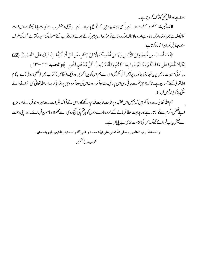ہوتا ہےاورخوش فہمی کوترک کردیتا ہے۔

فائدہ *نمبر* 4: مقصود کےفوت ہونے پر پاکسی ناپسندیدہ چیز کے دقوع پذیر یہونے پر بےچینی داضطراب سےنجات پانا کیونکہ وہ اس ذات کا فیصلہ ہے جو بادشاہ ارض وساء ہےاوروہ لامحالہ ہوکرر ہتا ہےتو مومن اس پرصبرکرتے ہوئے اجر وثواب کےحصول کی امیدرکھتا ہےجس کی طرف مندرجه ذيل فرمان اشاره کرتاہے:

﴿ مَا أَصَابَ مِن مُّصِيْبَةٍ فِي الْأَرْضِ وَلَا فِي أَنفُسِكُمُ إِلَّا فِي كِتَابٍ مِّن قَبُلٍ أَن تَّبِرَأَهَا إِنَّ ذَلِكَ عَلَى اللَّهِ يَسِيرٌ (22)

لِكَيْلَا تَأْسَوُاعَلَى مَا فَاتَكُمْ وَلَا تَفْرَحُوا بِمَا آتَاكُمْ وَاللَّهُ لَا يُحِبُّ كُلَّ مُخْتَالِ فَخُورِ ﴾[الحديد:٢٢-٣٣] ,, کوئی مصیبت زمین پر یاتمہاری جانوں پرنہیں آتی مگرقبل اس سے ہم اس کو پیدا کریں وہ ایک (خاص) کتاب میں (لکھی ہوئی) ہے بیرکام الله تعالیٰ کیلئے آ سان ہے۔ تا کہ جو چیزتم سے جاتی رہی اس پر رنجیدہ نہ ہواکر داور نہ اس کی عطا کر دہ چیزیرا ترایا کر و۔اوراللہ تعالیٰ کسی اترانے والے تىنى بازكويسن*ىنى*ش فرماتا \_

ہم اللہ تعالیٰ سے دعا گو ہیں کہ ہمیں اس عقید ہ پر ثابت ثابت قدم رکھےٗاوراس کےفوائد وثمرات سے بہرہ مندفر مائے اور مزید اپنےفضل وکرم سےنواز تار ہےاور مہرایت عطافر مانے کے بعد ہمارے دلوں کو ہرفتم کی گج روی سے محفوظ و مامون فر مائے۔اورا پنی رحمت سے فیض پاپ فرمائے کیونکہاس کی عنایت بڑی بے پایاں ہے۔

والحمدلله ۖ رب العالمين وصلى الله تعالىٰ علىٰ نبيّنا محمد و على آله واصحابه والتابعين لهم باحسان .

ا لعثيمين<br>محمد بن صارح المنتيمين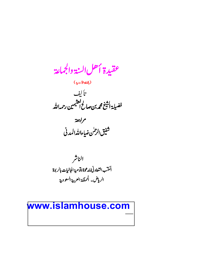عقيدة أحل السنة والجماعة

(باللغة الأردبية )

تأليف<br>فضيلة اشيخ محمه بن صالح التثيمين رحمهالله



#### www.islamhouse.com